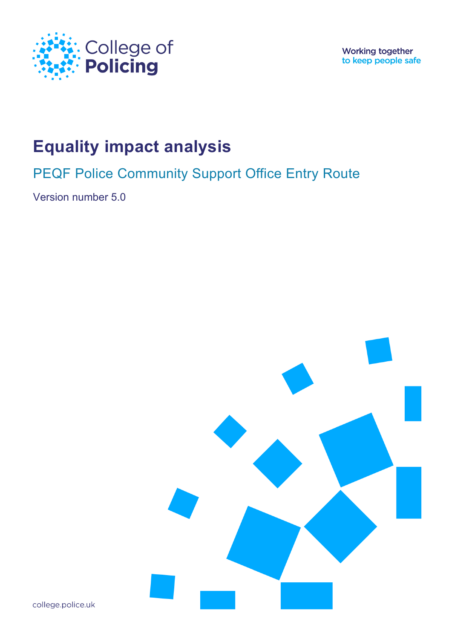

**Working together** to keep people safe

# **Equality impact analysis**

PEQF Police Community Support Office Entry Route

Version number 5.0



college.police.uk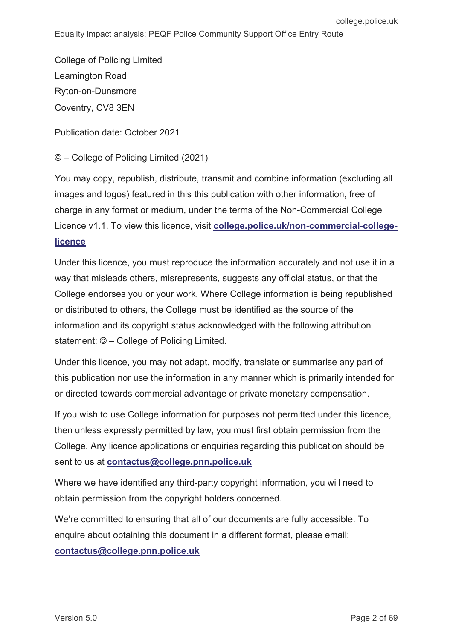College of Policing Limited Leamington Road Ryton-on-Dunsmore Coventry, CV8 3EN

Publication date: October 2021

© – College of Policing Limited (2021)

You may copy, republish, distribute, transmit and combine information (excluding all images and logos) featured in this this publication with other information, free of charge in any format or medium, under the terms of the Non-Commercial College Licence v1.1. To view this licence, visit **[college.police.uk/non-commercial-college](https://www.college.police.uk/non-commercial-college-licence)[licence](https://www.college.police.uk/non-commercial-college-licence)**

Under this licence, you must reproduce the information accurately and not use it in a way that misleads others, misrepresents, suggests any official status, or that the College endorses you or your work. Where College information is being republished or distributed to others, the College must be identified as the source of the information and its copyright status acknowledged with the following attribution statement: © – College of Policing Limited.

Under this licence, you may not adapt, modify, translate or summarise any part of this publication nor use the information in any manner which is primarily intended for or directed towards commercial advantage or private monetary compensation.

If you wish to use College information for purposes not permitted under this licence, then unless expressly permitted by law, you must first obtain permission from the College. Any licence applications or enquiries regarding this publication should be sent to us at **[contactus@college.pnn.police.uk](mailto:contactus@college.pnn.police.uk)**

Where we have identified any third-party copyright information, you will need to obtain permission from the copyright holders concerned.

We're committed to ensuring that all of our documents are fully accessible. To enquire about obtaining this document in a different format, please email: **[contactus@college.pnn.police.uk](mailto:contactus@college.pnn.police.uk)**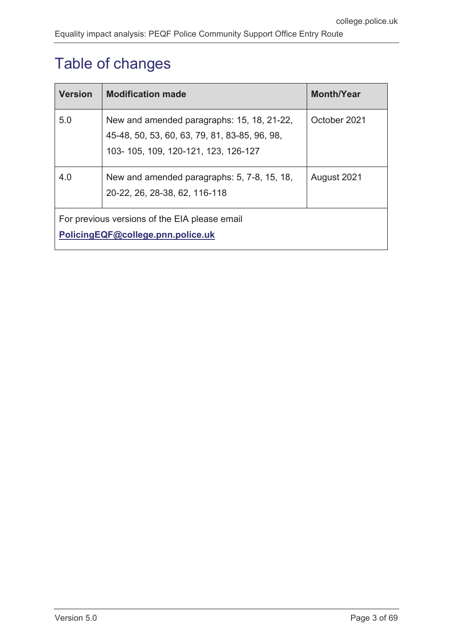# <span id="page-2-0"></span>Table of changes

| <b>Version</b>                                                                     | <b>Modification made</b>                                                                                                           | <b>Month/Year</b> |  |  |  |  |
|------------------------------------------------------------------------------------|------------------------------------------------------------------------------------------------------------------------------------|-------------------|--|--|--|--|
| 5.0                                                                                | New and amended paragraphs: 15, 18, 21-22,<br>45-48, 50, 53, 60, 63, 79, 81, 83-85, 96, 98,<br>103-105, 109, 120-121, 123, 126-127 | October 2021      |  |  |  |  |
| 4.0                                                                                | New and amended paragraphs: 5, 7-8, 15, 18,<br>20-22, 26, 28-38, 62, 116-118                                                       | August 2021       |  |  |  |  |
| For previous versions of the EIA please email<br>PolicingEQF@college.pnn.police.uk |                                                                                                                                    |                   |  |  |  |  |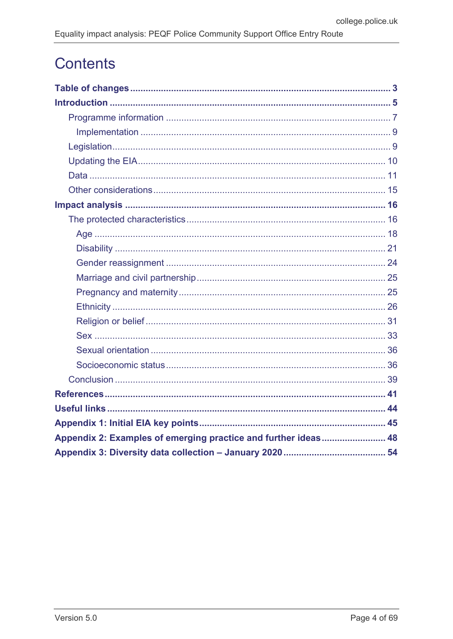# **Contents**

| Appendix 2: Examples of emerging practice and further ideas 48 |  |
|----------------------------------------------------------------|--|
|                                                                |  |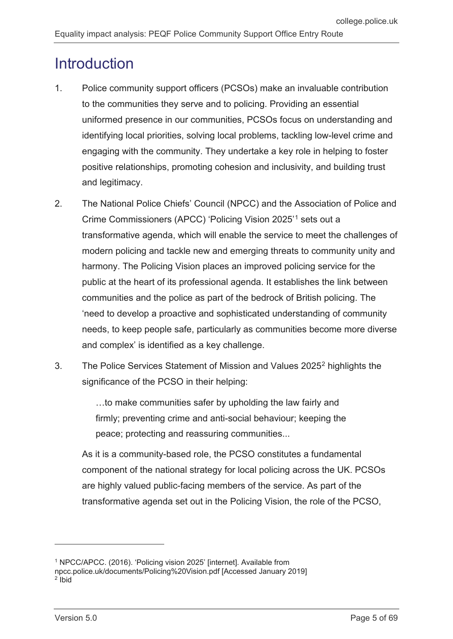# <span id="page-4-0"></span>**Introduction**

- 1. Police community support officers (PCSOs) make an invaluable contribution to the communities they serve and to policing. Providing an essential uniformed presence in our communities, PCSOs focus on understanding and identifying local priorities, solving local problems, tackling low-level crime and engaging with the community. They undertake a key role in helping to foster positive relationships, promoting cohesion and inclusivity, and building trust and legitimacy.
- 2. The National Police Chiefs' Council (NPCC) and the Association of Police and Crime Commissioners (APCC) 'Policing Vision 2025' [1](#page-4-1) sets out a transformative agenda, which will enable the service to meet the challenges of modern policing and tackle new and emerging threats to community unity and harmony. The Policing Vision places an improved policing service for the public at the heart of its professional agenda. It establishes the link between communities and the police as part of the bedrock of British policing. The 'need to develop a proactive and sophisticated understanding of community needs, to keep people safe, particularly as communities become more diverse and complex' is identified as a key challenge.
- 3. The Police Services Statement of Mission and Values 2025[2](#page-4-2) highlights the significance of the PCSO in their helping:

…to make communities safer by upholding the law fairly and firmly; preventing crime and anti-social behaviour; keeping the peace; protecting and reassuring communities...

As it is a community-based role, the PCSO constitutes a fundamental component of the national strategy for local policing across the UK. PCSOs are highly valued public-facing members of the service. As part of the transformative agenda set out in the Policing Vision, the role of the PCSO,

<sup>1</sup> NPCC/APCC. (2016). 'Policing vision 2025' [internet]. Available from

<span id="page-4-2"></span><span id="page-4-1"></span>npcc.police.uk/documents/Policing%20Vision.pdf [Accessed January 2019]  $2$  Ibid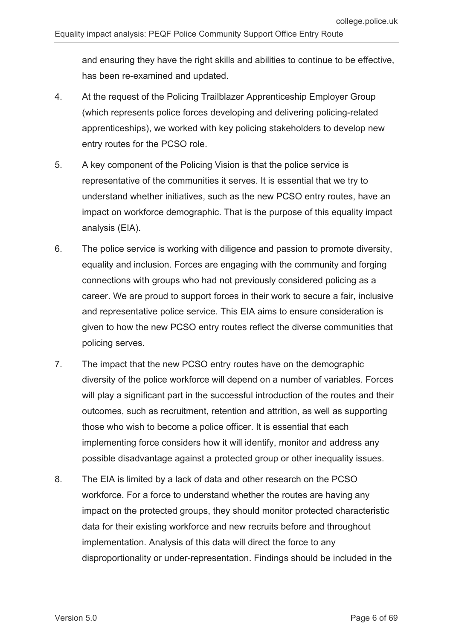and ensuring they have the right skills and abilities to continue to be effective, has been re-examined and updated.

- 4. At the request of the Policing Trailblazer Apprenticeship Employer Group (which represents police forces developing and delivering policing-related apprenticeships), we worked with key policing stakeholders to develop new entry routes for the PCSO role.
- 5. A key component of the Policing Vision is that the police service is representative of the communities it serves. It is essential that we try to understand whether initiatives, such as the new PCSO entry routes, have an impact on workforce demographic. That is the purpose of this equality impact analysis (EIA).
- 6. The police service is working with diligence and passion to promote diversity, equality and inclusion. Forces are engaging with the community and forging connections with groups who had not previously considered policing as a career. We are proud to support forces in their work to secure a fair, inclusive and representative police service. This EIA aims to ensure consideration is given to how the new PCSO entry routes reflect the diverse communities that policing serves.
- 7. The impact that the new PCSO entry routes have on the demographic diversity of the police workforce will depend on a number of variables. Forces will play a significant part in the successful introduction of the routes and their outcomes, such as recruitment, retention and attrition, as well as supporting those who wish to become a police officer. It is essential that each implementing force considers how it will identify, monitor and address any possible disadvantage against a protected group or other inequality issues.
- 8. The EIA is limited by a lack of data and other research on the PCSO workforce. For a force to understand whether the routes are having any impact on the protected groups, they should monitor protected characteristic data for their existing workforce and new recruits before and throughout implementation. Analysis of this data will direct the force to any disproportionality or under-representation. Findings should be included in the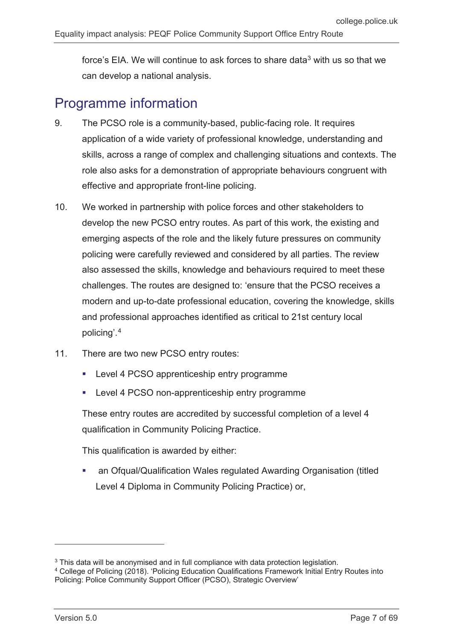force's EIA. We will continue to ask forces to share data<sup>[3](#page-6-1)</sup> with us so that we can develop a national analysis.

## <span id="page-6-0"></span>Programme information

- 9. The PCSO role is a community-based, public-facing role. It requires application of a wide variety of professional knowledge, understanding and skills, across a range of complex and challenging situations and contexts. The role also asks for a demonstration of appropriate behaviours congruent with effective and appropriate front-line policing.
- 10. We worked in partnership with police forces and other stakeholders to develop the new PCSO entry routes. As part of this work, the existing and emerging aspects of the role and the likely future pressures on community policing were carefully reviewed and considered by all parties. The review also assessed the skills, knowledge and behaviours required to meet these challenges. The routes are designed to: 'ensure that the PCSO receives a modern and up-to-date professional education, covering the knowledge, skills and professional approaches identified as critical to 21st century local policing'. [4](#page-6-2)
- 11. There are two new PCSO entry routes:
	- Level 4 PCSO apprenticeship entry programme
	- **EXECTE 1 PULLER** 1 POSO non-apprenticeship entry programme

These entry routes are accredited by successful completion of a level 4 qualification in Community Policing Practice.

This qualification is awarded by either:

 an Ofqual/Qualification Wales regulated Awarding Organisation (titled Level 4 Diploma in Community Policing Practice) or,

<span id="page-6-1"></span> $3$  This data will be anonymised and in full compliance with data protection legislation.

<span id="page-6-2"></span><sup>4</sup> College of Policing (2018). 'Policing Education Qualifications Framework Initial Entry Routes into Policing: Police Community Support Officer (PCSO), Strategic Overview'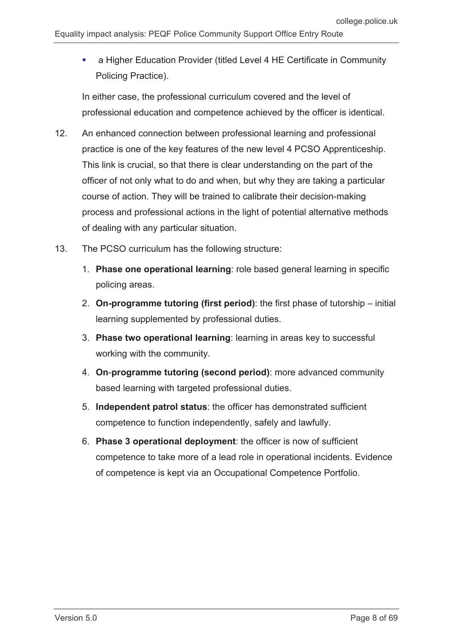a Higher Education Provider (titled Level 4 HE Certificate in Community Policing Practice).

In either case, the professional curriculum covered and the level of professional education and competence achieved by the officer is identical.

- 12. An enhanced connection between professional learning and professional practice is one of the key features of the new level 4 PCSO Apprenticeship. This link is crucial, so that there is clear understanding on the part of the officer of not only what to do and when, but why they are taking a particular course of action. They will be trained to calibrate their decision-making process and professional actions in the light of potential alternative methods of dealing with any particular situation.
- 13. The PCSO curriculum has the following structure:
	- 1. **Phase one operational learning**: role based general learning in specific policing areas.
	- 2. **On-programme tutoring (first period)**: the first phase of tutorship initial learning supplemented by professional duties.
	- 3. **Phase two operational learning**: learning in areas key to successful working with the community.
	- 4. **On**-**programme tutoring (second period)**: more advanced community based learning with targeted professional duties.
	- 5. **Independent patrol status**: the officer has demonstrated sufficient competence to function independently, safely and lawfully.
	- 6. **Phase 3 operational deployment**: the officer is now of sufficient competence to take more of a lead role in operational incidents. Evidence of competence is kept via an Occupational Competence Portfolio.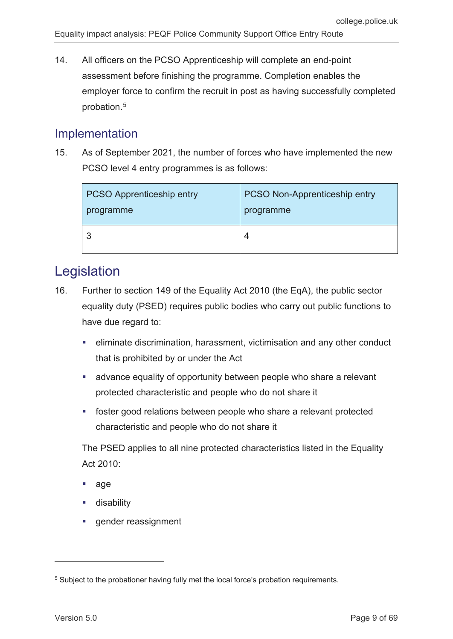14. All officers on the PCSO Apprenticeship will complete an end-point assessment before finishing the programme. Completion enables the employer force to confirm the recruit in post as having successfully completed probation.[5](#page-8-2)

### <span id="page-8-0"></span>Implementation

15. As of September 2021, the number of forces who have implemented the new PCSO level 4 entry programmes is as follows:

| <b>PCSO Apprenticeship entry</b> | <b>PCSO Non-Apprenticeship entry</b> |
|----------------------------------|--------------------------------------|
| programme                        | programme                            |
|                                  | 4                                    |

## <span id="page-8-1"></span>Legislation

- 16. Further to section 149 of the Equality Act 2010 (the EqA), the public sector equality duty (PSED) requires public bodies who carry out public functions to have due regard to:
	- eliminate discrimination, harassment, victimisation and any other conduct that is prohibited by or under the Act
	- advance equality of opportunity between people who share a relevant protected characteristic and people who do not share it
	- foster good relations between people who share a relevant protected characteristic and people who do not share it

The PSED applies to all nine protected characteristics listed in the Equality Act 2010:

- age
- disability
- gender reassignment

<span id="page-8-2"></span><sup>&</sup>lt;sup>5</sup> Subject to the probationer having fully met the local force's probation requirements.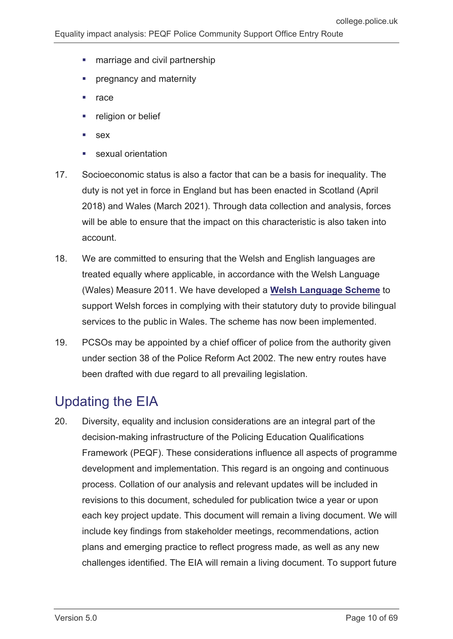- **marriage and civil partnership**
- pregnancy and maternity
- $rac{1}{\sqrt{2}}$  race
- religion or belief
- **sex**
- sexual orientation
- 17. Socioeconomic status is also a factor that can be a basis for inequality. The duty is not yet in force in England but has been enacted in Scotland (April 2018) and Wales (March 2021). Through data collection and analysis, forces will be able to ensure that the impact on this characteristic is also taken into account.
- 18. We are committed to ensuring that the Welsh and English languages are treated equally where applicable, in accordance with the Welsh Language (Wales) Measure 2011. We have developed a **[Welsh Language Scheme](https://assets.college.police.uk/s3fs-public/2021-06/welsh-language-scheme.pdf)** to support Welsh forces in complying with their statutory duty to provide bilingual services to the public in Wales. The scheme has now been implemented.
- 19. PCSOs may be appointed by a chief officer of police from the authority given under section 38 of the Police Reform Act 2002. The new entry routes have been drafted with due regard to all prevailing legislation.

## <span id="page-9-0"></span>Updating the EIA

20. Diversity, equality and inclusion considerations are an integral part of the decision-making infrastructure of the Policing Education Qualifications Framework (PEQF). These considerations influence all aspects of programme development and implementation. This regard is an ongoing and continuous process. Collation of our analysis and relevant updates will be included in revisions to this document, scheduled for publication twice a year or upon each key project update. This document will remain a living document. We will include key findings from stakeholder meetings, recommendations, action plans and emerging practice to reflect progress made, as well as any new challenges identified. The EIA will remain a living document. To support future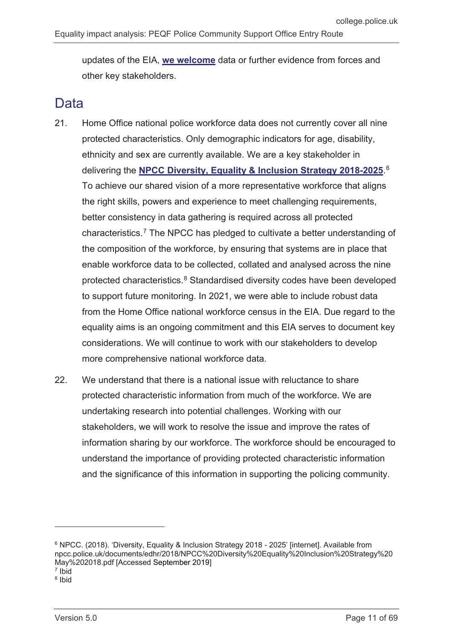updates of the EIA, **[we welcome](mailto:policingeqf@college.pnn.police.uk)** data or further evidence from forces and other key stakeholders.

## <span id="page-10-0"></span>Data

- 21. Home Office national police workforce data does not currently cover all nine protected characteristics. Only demographic indicators for age, disability, ethnicity and sex are currently available. We are a key stakeholder in delivering the **[NPCC Diversity, Equality & Inclusion Strategy 2018-2025](https://www.npcc.police.uk/documents/edhr/2018/NPCC%20Diversity%20Equality%20Inclusion%20Strategy%20May%202018.pdf)**. [6](#page-10-1) To achieve our shared vision of a more representative workforce that aligns the right skills, powers and experience to meet challenging requirements, better consistency in data gathering is required across all protected characteristics.[7](#page-10-2) The NPCC has pledged to cultivate a better understanding of the composition of the workforce, by ensuring that systems are in place that enable workforce data to be collected, collated and analysed across the nine protected characteristics.[8](#page-10-3) Standardised diversity codes have been developed to support future monitoring. In 2021, we were able to include robust data from the Home Office national workforce census in the EIA. Due regard to the equality aims is an ongoing commitment and this EIA serves to document key considerations. We will continue to work with our stakeholders to develop more comprehensive national workforce data.
- 22. We understand that there is a national issue with reluctance to share protected characteristic information from much of the workforce. We are undertaking research into potential challenges. Working with our stakeholders, we will work to resolve the issue and improve the rates of information sharing by our workforce. The workforce should be encouraged to understand the importance of providing protected characteristic information and the significance of this information in supporting the policing community.

 $\overline{a}$ 

<span id="page-10-1"></span><sup>6</sup> NPCC. (2018). 'Diversity, Equality & Inclusion Strategy 2018 - 2025' [internet]. Available from npcc.police.uk/documents/edhr/2018/NPCC%20Diversity%20Equality%20Inclusion%20Strategy%20 May%202018.pdf [Accessed September 2019] <sup>7</sup> Ibid

<span id="page-10-3"></span><span id="page-10-2"></span><sup>8</sup> Ibid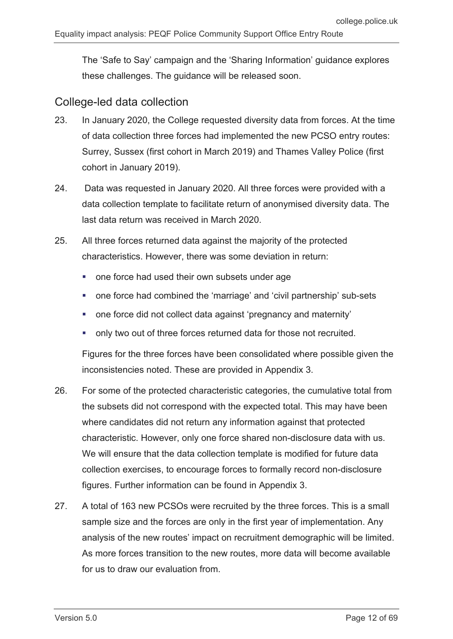The 'Safe to Say' campaign and the 'Sharing Information' guidance explores these challenges. The guidance will be released soon.

#### College-led data collection

- 23. In January 2020, the College requested diversity data from forces. At the time of data collection three forces had implemented the new PCSO entry routes: Surrey, Sussex (first cohort in March 2019) and Thames Valley Police (first cohort in January 2019).
- 24. Data was requested in January 2020. All three forces were provided with a data collection template to facilitate return of anonymised diversity data. The last data return was received in March 2020.
- 25. All three forces returned data against the majority of the protected characteristics. However, there was some deviation in return:
	- one force had used their own subsets under age
	- one force had combined the 'marriage' and 'civil partnership' sub-sets
	- one force did not collect data against 'pregnancy and maternity'
	- only two out of three forces returned data for those not recruited.

Figures for the three forces have been consolidated where possible given the inconsistencies noted. These are provided in Appendix 3.

- 26. For some of the protected characteristic categories, the cumulative total from the subsets did not correspond with the expected total. This may have been where candidates did not return any information against that protected characteristic. However, only one force shared non-disclosure data with us. We will ensure that the data collection template is modified for future data collection exercises, to encourage forces to formally record non-disclosure figures. Further information can be found in Appendix 3.
- 27. A total of 163 new PCSOs were recruited by the three forces. This is a small sample size and the forces are only in the first year of implementation. Any analysis of the new routes' impact on recruitment demographic will be limited. As more forces transition to the new routes, more data will become available for us to draw our evaluation from.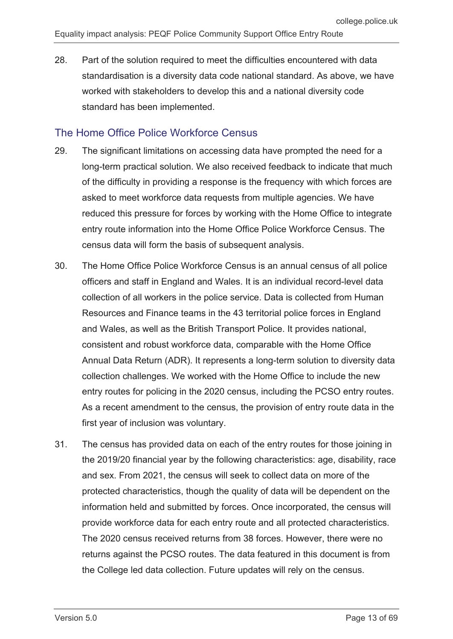28. Part of the solution required to meet the difficulties encountered with data standardisation is a diversity data code national standard. As above, we have worked with stakeholders to develop this and a national diversity code standard has been implemented.

#### The Home Office Police Workforce Census

- 29. The significant limitations on accessing data have prompted the need for a long-term practical solution. We also received feedback to indicate that much of the difficulty in providing a response is the frequency with which forces are asked to meet workforce data requests from multiple agencies. We have reduced this pressure for forces by working with the Home Office to integrate entry route information into the Home Office Police Workforce Census. The census data will form the basis of subsequent analysis.
- 30. The Home Office Police Workforce Census is an annual census of all police officers and staff in England and Wales. It is an individual record-level data collection of all workers in the police service. Data is collected from Human Resources and Finance teams in the 43 territorial police forces in England and Wales, as well as the British Transport Police. It provides national, consistent and robust workforce data, comparable with the Home Office Annual Data Return (ADR). It represents a long-term solution to diversity data collection challenges. We worked with the Home Office to include the new entry routes for policing in the 2020 census, including the PCSO entry routes. As a recent amendment to the census, the provision of entry route data in the first year of inclusion was voluntary.
- 31. The census has provided data on each of the entry routes for those joining in the 2019/20 financial year by the following characteristics: age, disability, race and sex. From 2021, the census will seek to collect data on more of the protected characteristics, though the quality of data will be dependent on the information held and submitted by forces. Once incorporated, the census will provide workforce data for each entry route and all protected characteristics. The 2020 census received returns from 38 forces. However, there were no returns against the PCSO routes. The data featured in this document is from the College led data collection. Future updates will rely on the census.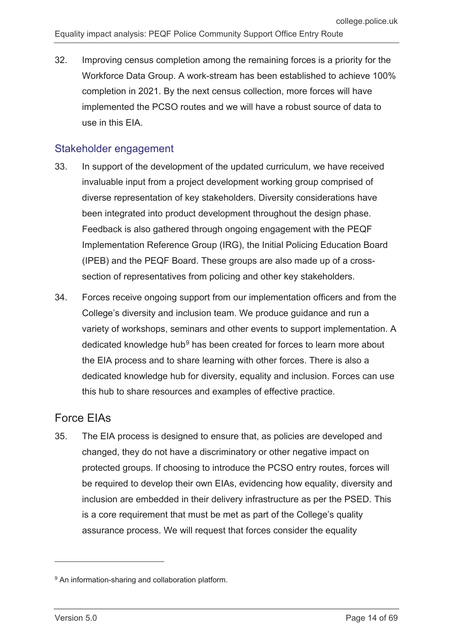32. Improving census completion among the remaining forces is a priority for the Workforce Data Group. A work-stream has been established to achieve 100% completion in 2021. By the next census collection, more forces will have implemented the PCSO routes and we will have a robust source of data to use in this EIA.

#### Stakeholder engagement

- 33. In support of the development of the updated curriculum, we have received invaluable input from a project development working group comprised of diverse representation of key stakeholders. Diversity considerations have been integrated into product development throughout the design phase. Feedback is also gathered through ongoing engagement with the PEQF Implementation Reference Group (IRG), the Initial Policing Education Board (IPEB) and the PEQF Board. These groups are also made up of a crosssection of representatives from policing and other key stakeholders.
- 34. Forces receive ongoing support from our implementation officers and from the College's diversity and inclusion team. We produce guidance and run a variety of workshops, seminars and other events to support implementation. A dedicated knowledge hub<sup>[9](#page-13-0)</sup> has been created for forces to learn more about the EIA process and to share learning with other forces. There is also a dedicated knowledge hub for diversity, equality and inclusion. Forces can use this hub to share resources and examples of effective practice.

### Force EIAs

35. The EIA process is designed to ensure that, as policies are developed and changed, they do not have a discriminatory or other negative impact on protected groups. If choosing to introduce the PCSO entry routes, forces will be required to develop their own EIAs, evidencing how equality, diversity and inclusion are embedded in their delivery infrastructure as per the PSED. This is a core requirement that must be met as part of the College's quality assurance process. We will request that forces consider the equality

<span id="page-13-0"></span><sup>9</sup> An information-sharing and collaboration platform.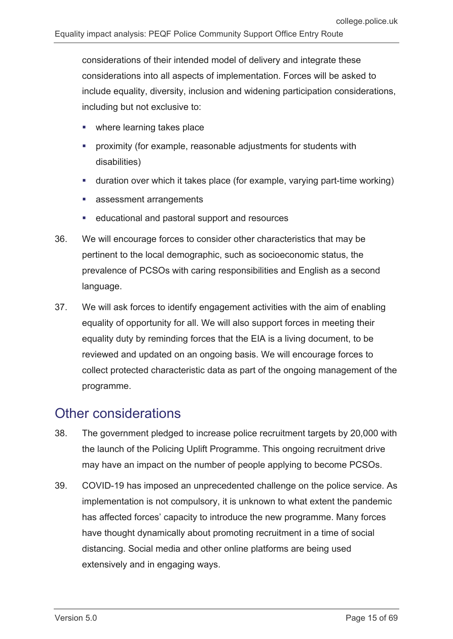considerations of their intended model of delivery and integrate these considerations into all aspects of implementation. Forces will be asked to include equality, diversity, inclusion and widening participation considerations, including but not exclusive to:

- where learning takes place
- proximity (for example, reasonable adjustments for students with disabilities)
- duration over which it takes place (for example, varying part-time working)
- **assessment arrangements**
- educational and pastoral support and resources
- 36. We will encourage forces to consider other characteristics that may be pertinent to the local demographic, such as socioeconomic status, the prevalence of PCSOs with caring responsibilities and English as a second language.
- 37. We will ask forces to identify engagement activities with the aim of enabling equality of opportunity for all. We will also support forces in meeting their equality duty by reminding forces that the EIA is a living document, to be reviewed and updated on an ongoing basis. We will encourage forces to collect protected characteristic data as part of the ongoing management of the programme.

## <span id="page-14-0"></span>Other considerations

- 38. The government pledged to increase police recruitment targets by 20,000 with the launch of the Policing Uplift Programme. This ongoing recruitment drive may have an impact on the number of people applying to become PCSOs.
- 39. COVID-19 has imposed an unprecedented challenge on the police service. As implementation is not compulsory, it is unknown to what extent the pandemic has affected forces' capacity to introduce the new programme. Many forces have thought dynamically about promoting recruitment in a time of social distancing. Social media and other online platforms are being used extensively and in engaging ways.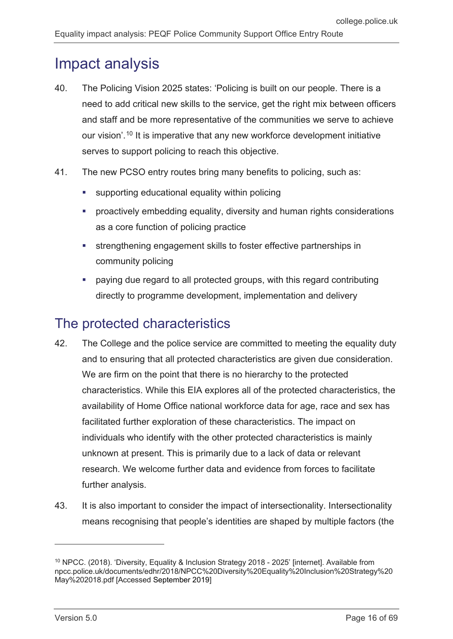# <span id="page-15-0"></span>Impact analysis

- 40. The Policing Vision 2025 states: 'Policing is built on our people. There is a need to add critical new skills to the service, get the right mix between officers and staff and be more representative of the communities we serve to achieve our vision'. [10](#page-15-2) It is imperative that any new workforce development initiative serves to support policing to reach this objective.
- 41. The new PCSO entry routes bring many benefits to policing, such as:
	- supporting educational equality within policing
	- proactively embedding equality, diversity and human rights considerations as a core function of policing practice
	- strengthening engagement skills to foster effective partnerships in community policing
	- paying due regard to all protected groups, with this regard contributing directly to programme development, implementation and delivery

## <span id="page-15-1"></span>The protected characteristics

- 42. The College and the police service are committed to meeting the equality duty and to ensuring that all protected characteristics are given due consideration. We are firm on the point that there is no hierarchy to the protected characteristics. While this EIA explores all of the protected characteristics, the availability of Home Office national workforce data for age, race and sex has facilitated further exploration of these characteristics. The impact on individuals who identify with the other protected characteristics is mainly unknown at present. This is primarily due to a lack of data or relevant research. We welcome further data and evidence from forces to facilitate further analysis.
- 43. It is also important to consider the impact of intersectionality. Intersectionality means recognising that people's identities are shaped by multiple factors (the

<span id="page-15-2"></span><sup>&</sup>lt;sup>10</sup> NPCC. (2018). 'Diversity, Equality & Inclusion Strategy 2018 - 2025' [internet]. Available from npcc.police.uk/documents/edhr/2018/NPCC%20Diversity%20Equality%20Inclusion%20Strategy%20 May%202018.pdf [Accessed September 2019]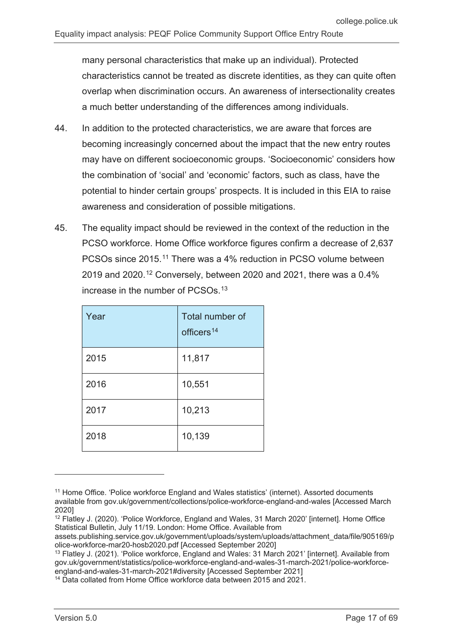many personal characteristics that make up an individual). Protected characteristics cannot be treated as discrete identities, as they can quite often overlap when discrimination occurs. An awareness of intersectionality creates a much better understanding of the differences among individuals.

- 44. In addition to the protected characteristics, we are aware that forces are becoming increasingly concerned about the impact that the new entry routes may have on different socioeconomic groups. 'Socioeconomic' considers how the combination of 'social' and 'economic' factors, such as class, have the potential to hinder certain groups' prospects. It is included in this EIA to raise awareness and consideration of possible mitigations.
- 45. The equality impact should be reviewed in the context of the reduction in the PCSO workforce. Home Office workforce figures confirm a decrease of 2,637 PCSOs since 2015.<sup>[11](#page-16-0)</sup> There was a 4% reduction in PCSO volume between 2019 and 2020.<sup>[12](#page-16-1)</sup> Conversely, between 2020 and 2021, there was a 0.4% increase in the number of PCSOs.[13](#page-16-2)

| Year | Total number of<br>officers <sup>14</sup> |
|------|-------------------------------------------|
| 2015 | 11,817                                    |
| 2016 | 10,551                                    |
| 2017 | 10,213                                    |
| 2018 | 10,139                                    |

<span id="page-16-0"></span><sup>&</sup>lt;sup>11</sup> Home Office. 'Police workforce England and Wales statistics' (internet). Assorted documents available from gov.uk/government/collections/police-workforce-england-and-wales [Accessed March 2020]

<span id="page-16-1"></span><sup>&</sup>lt;sup>12</sup> Flatley J. (2020). 'Police Workforce, England and Wales, 31 March 2020' [internet]. Home Office Statistical Bulletin, July 11/19. London: Home Office. Available from

assets.publishing.service.gov.uk/government/uploads/system/uploads/attachment\_data/file/905169/p olice-workforce-mar20-hosb2020.pdf [Accessed September 2020]

<span id="page-16-2"></span><sup>&</sup>lt;sup>13</sup> Flatley J. (2021). 'Police workforce, England and Wales: 31 March 2021' [internet]. Available from gov.uk/government/statistics/police-workforce-england-and-wales-31-march-2021/police-workforceengland-and-wales-31-march-2021#diversity [Accessed September 2021]

<span id="page-16-3"></span><sup>&</sup>lt;sup>14</sup> Data collated from Home Office workforce data between 2015 and 2021.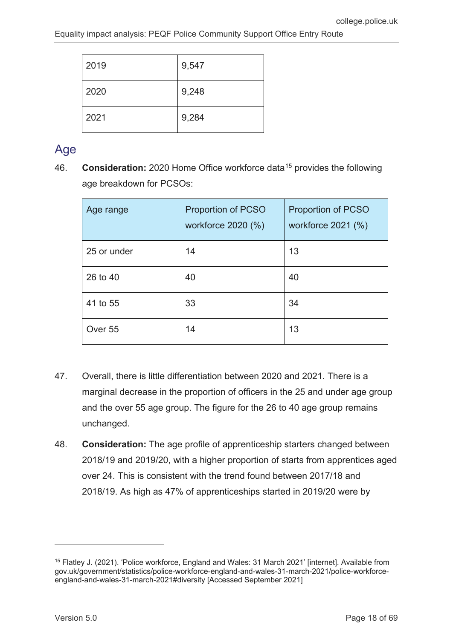| 2019 | 9,547 |
|------|-------|
| 2020 | 9,248 |
| 2021 | 9,284 |

## <span id="page-17-0"></span>Age

46. **Consideration:** 2020 Home Office workforce data[15](#page-17-1) provides the following age breakdown for PCSOs:

| Age range   | <b>Proportion of PCSO</b><br>workforce 2020 (%) | <b>Proportion of PCSO</b><br>workforce 2021 (%) |
|-------------|-------------------------------------------------|-------------------------------------------------|
| 25 or under | 14                                              | 13                                              |
| 26 to 40    | 40                                              | 40                                              |
| 41 to 55    | 33                                              | 34                                              |
| Over 55     | 14                                              | 13                                              |

- 47. Overall, there is little differentiation between 2020 and 2021. There is a marginal decrease in the proportion of officers in the 25 and under age group and the over 55 age group. The figure for the 26 to 40 age group remains unchanged.
- 48. **Consideration:** The age profile of apprenticeship starters changed between 2018/19 and 2019/20, with a higher proportion of starts from apprentices aged over 24. This is consistent with the trend found between 2017/18 and 2018/19. As high as 47% of apprenticeships started in 2019/20 were by

<span id="page-17-1"></span><sup>15</sup> Flatley J. (2021). 'Police workforce, England and Wales: 31 March 2021' [internet]. Available from gov.uk/government/statistics/police-workforce-england-and-wales-31-march-2021/police-workforceengland-and-wales-31-march-2021#diversity [Accessed September 2021]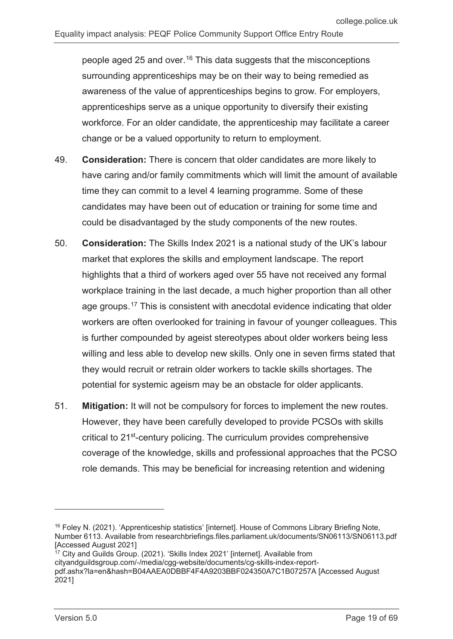people aged 25 and over.[16](#page-18-0) This data suggests that the misconceptions surrounding apprenticeships may be on their way to being remedied as awareness of the value of apprenticeships begins to grow. For employers, apprenticeships serve as a unique opportunity to diversify their existing workforce. For an older candidate, the apprenticeship may facilitate a career change or be a valued opportunity to return to employment.

- 49. **Consideration:** There is concern that older candidates are more likely to have caring and/or family commitments which will limit the amount of available time they can commit to a level 4 learning programme. Some of these candidates may have been out of education or training for some time and could be disadvantaged by the study components of the new routes.
- 50. **Consideration:** The Skills Index 2021 is a national study of the UK's labour market that explores the skills and employment landscape. The report highlights that a third of workers aged over 55 have not received any formal workplace training in the last decade, a much higher proportion than all other age groups.[17](#page-18-1) This is consistent with anecdotal evidence indicating that older workers are often overlooked for training in favour of younger colleagues. This is further compounded by ageist stereotypes about older workers being less willing and less able to develop new skills. Only one in seven firms stated that they would recruit or retrain older workers to tackle skills shortages. The potential for systemic ageism may be an obstacle for older applicants.
- 51. **Mitigation:** It will not be compulsory for forces to implement the new routes. However, they have been carefully developed to provide PCSOs with skills critical to 21st-century policing. The curriculum provides comprehensive coverage of the knowledge, skills and professional approaches that the PCSO role demands. This may be beneficial for increasing retention and widening

<span id="page-18-0"></span><sup>16</sup> Foley N. (2021). 'Apprenticeship statistics' [internet]. House of Commons Library Briefing Note, Number 6113. Available from researchbriefings.files.parliament.uk/documents/SN06113/SN06113.pdf [Accessed August 2021]

<span id="page-18-1"></span><sup>&</sup>lt;sup>17</sup> City and Guilds Group. (2021). 'Skills Index 2021' [internet]. Available from cityandguildsgroup.com/-/media/cgg-website/documents/cg-skills-index-reportpdf.ashx?la=en&hash=B04AAEA0DBBF4F4A9203BBF024350A7C1B07257A [Accessed August 2021]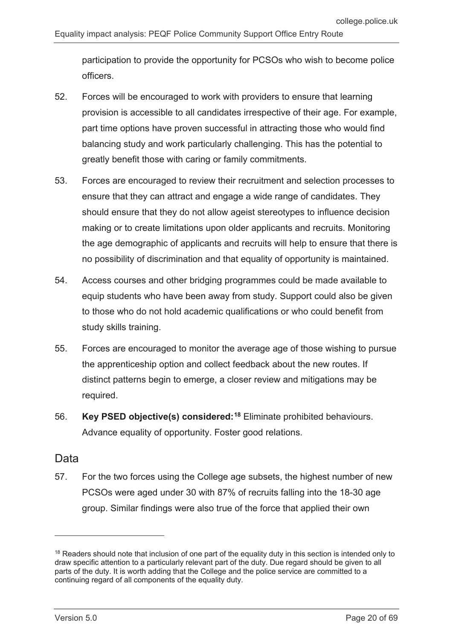participation to provide the opportunity for PCSOs who wish to become police officers.

- 52. Forces will be encouraged to work with providers to ensure that learning provision is accessible to all candidates irrespective of their age. For example, part time options have proven successful in attracting those who would find balancing study and work particularly challenging. This has the potential to greatly benefit those with caring or family commitments.
- 53. Forces are encouraged to review their recruitment and selection processes to ensure that they can attract and engage a wide range of candidates. They should ensure that they do not allow ageist stereotypes to influence decision making or to create limitations upon older applicants and recruits. Monitoring the age demographic of applicants and recruits will help to ensure that there is no possibility of discrimination and that equality of opportunity is maintained.
- 54. Access courses and other bridging programmes could be made available to equip students who have been away from study. Support could also be given to those who do not hold academic qualifications or who could benefit from study skills training.
- 55. Forces are encouraged to monitor the average age of those wishing to pursue the apprenticeship option and collect feedback about the new routes. If distinct patterns begin to emerge, a closer review and mitigations may be required.
- 56. **Key PSED objective(s) considered:[18](#page-19-0)** Eliminate prohibited behaviours. Advance equality of opportunity. Foster good relations.

### Data

-

57. For the two forces using the College age subsets, the highest number of new PCSOs were aged under 30 with 87% of recruits falling into the 18-30 age group. Similar findings were also true of the force that applied their own

<span id="page-19-0"></span><sup>&</sup>lt;sup>18</sup> Readers should note that inclusion of one part of the equality duty in this section is intended only to draw specific attention to a particularly relevant part of the duty. Due regard should be given to all parts of the duty. It is worth adding that the College and the police service are committed to a continuing regard of all components of the equality duty.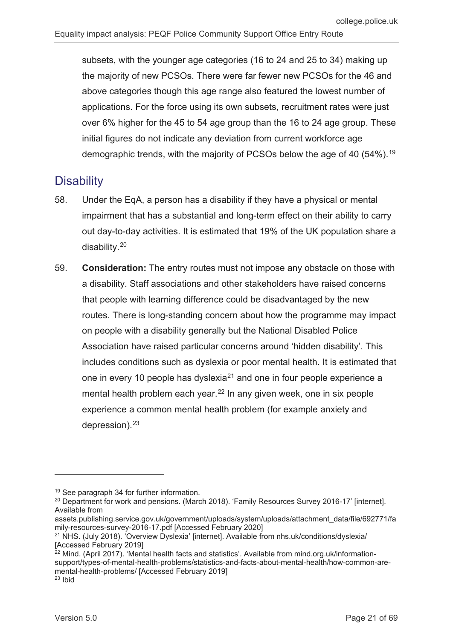subsets, with the younger age categories (16 to 24 and 25 to 34) making up the majority of new PCSOs. There were far fewer new PCSOs for the 46 and above categories though this age range also featured the lowest number of applications. For the force using its own subsets, recruitment rates were just over 6% higher for the 45 to 54 age group than the 16 to 24 age group. These initial figures do not indicate any deviation from current workforce age demographic trends, with the majority of PCSOs below the age of 40 (54%).<sup>[19](#page-20-1)</sup>

## <span id="page-20-0"></span>**Disability**

- 58. Under the EqA, a person has a disability if they have a physical or mental impairment that has a substantial and long-term effect on their ability to carry out day-to-day activities. It is estimated that 19% of the UK population share a disability.[20](#page-20-2)
- 59. **Consideration:** The entry routes must not impose any obstacle on those with a disability. Staff associations and other stakeholders have raised concerns that people with learning difference could be disadvantaged by the new routes. There is long-standing concern about how the programme may impact on people with a disability generally but the National Disabled Police Association have raised particular concerns around 'hidden disability'. This includes conditions such as dyslexia or poor mental health. It is estimated that one in every 10 people has dyslexia<sup>[21](#page-20-3)</sup> and one in four people experience a mental health problem each year.<sup>[22](#page-20-4)</sup> In any given week, one in six people experience a common mental health problem (for example anxiety and depression). $23$

<span id="page-20-1"></span><sup>19</sup> See paragraph 34 for further information.

<span id="page-20-2"></span><sup>&</sup>lt;sup>20</sup> Department for work and pensions. (March 2018). 'Family Resources Survey 2016-17' [internet]. Available from

assets.publishing.service.gov.uk/government/uploads/system/uploads/attachment\_data/file/692771/fa mily-resources-survey-2016-17.pdf [Accessed February 2020]

<span id="page-20-3"></span><sup>&</sup>lt;sup>21</sup> NHS. (July 2018). 'Overview Dyslexia' [internet]. Available from nhs.uk/conditions/dyslexia/ [Accessed February 2019]

<span id="page-20-5"></span><span id="page-20-4"></span><sup>&</sup>lt;sup>22</sup> Mind. (April 2017). 'Mental health facts and statistics'. Available from mind.org.uk/informationsupport/types-of-mental-health-problems/statistics-and-facts-about-mental-health/how-common-aremental-health-problems/ [Accessed February 2019]  $23$  Ibid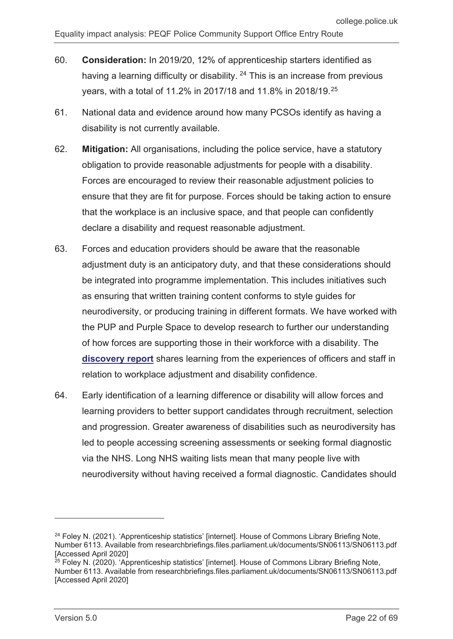- 60. **Consideration:** In 2019/20, 12% of apprenticeship starters identified as having a learning difficulty or disability.  $24$  This is an increase from previous years, with a total of 11.2% in 2017/18 and 11.8% in 2018/19.[25](#page-21-1)
- 61. National data and evidence around how many PCSOs identify as having a disability is not currently available.
- 62. **Mitigation:** All organisations, including the police service, have a statutory obligation to provide reasonable adjustments for people with a disability. Forces are encouraged to review their reasonable adjustment policies to ensure that they are fit for purpose. Forces should be taking action to ensure that the workplace is an inclusive space, and that people can confidently declare a disability and request reasonable adjustment.
- 63. Forces and education providers should be aware that the reasonable adjustment duty is an anticipatory duty, and that these considerations should be integrated into programme implementation. This includes initiatives such as ensuring that written training content conforms to style guides for neurodiversity, or producing training in different formats. We have worked with the PUP and Purple Space to develop research to further our understanding of how forces are supporting those in their workforce with a disability. The **[discovery report](https://paas-s3-broker-prod-lon-6453d964-1d1a-432a-9260-5e0ba7d2fc51.s3.eu-west-2.amazonaws.com/s3fs-public/2021-08/discovery-report-workplace-adjustments.pdf)** shares learning from the experiences of officers and staff in relation to workplace adjustment and disability confidence.
- 64. Early identification of a learning difference or disability will allow forces and learning providers to better support candidates through recruitment, selection and progression. Greater awareness of disabilities such as neurodiversity has led to people accessing screening assessments or seeking formal diagnostic via the NHS. Long NHS waiting lists mean that many people live with neurodiversity without having received a formal diagnostic. Candidates should

<span id="page-21-0"></span><sup>&</sup>lt;sup>24</sup> Foley N. (2021). 'Apprenticeship statistics' [internet]. House of Commons Library Briefing Note, Number 6113. Available from researchbriefings.files.parliament.uk/documents/SN06113/SN06113.pdf [Accessed April 2020]

<span id="page-21-1"></span><sup>&</sup>lt;sup>25</sup> Foley N. (2020). 'Apprenticeship statistics' [internet]. House of Commons Library Briefing Note, Number 6113. Available from researchbriefings.files.parliament.uk/documents/SN06113/SN06113.pdf [Accessed April 2020]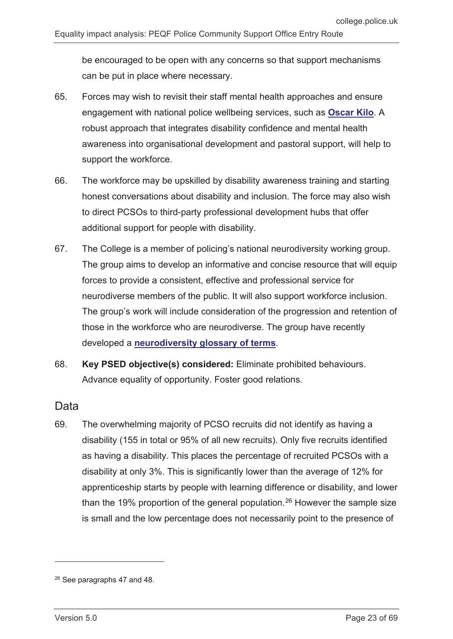be encouraged to be open with any concerns so that support mechanisms can be put in place where necessary.

- 65. Forces may wish to revisit their staff mental health approaches and ensure engagement with national police wellbeing services, such as **[Oscar Kilo](https://oscarkilo.org.uk/)**. A robust approach that integrates disability confidence and mental health awareness into organisational development and pastoral support, will help to support the workforce.
- 66. The workforce may be upskilled by disability awareness training and starting honest conversations about disability and inclusion. The force may also wish to direct PCSOs to third-party professional development hubs that offer additional support for people with disability.
- 67. The College is a member of policing's national neurodiversity working group. The group aims to develop an informative and concise resource that will equip forces to provide a consistent, effective and professional service for neurodiverse members of the public. It will also support workforce inclusion. The group's work will include consideration of the progression and retention of those in the workforce who are neurodiverse. The group have recently developed a **[neurodiversity glossary of terms](https://gbr01.safelinks.protection.outlook.com/?url=https%3A%2F%2Fpaas-s3-broker-prod-lon-6453d964-1d1a-432a-9260-5e0ba7d2fc51.s3.eu-west-2.amazonaws.com%2Fs3fs-public%2F2021-06%2Fneurodiversity-glossary-of-terms.pdf&data=04%7C01%7CDiane.Winnett%40college.police.uk%7Cd822583beed342bb0c5108d984bd21cd%7C680d633d1744457e844060d694f69e7b%7C0%7C0%7C637686770121480147%7CUnknown%7CTWFpbGZsb3d8eyJWIjoiMC4wLjAwMDAiLCJQIjoiV2luMzIiLCJBTiI6Ik1haWwiLCJXVCI6Mn0%3D%7C1000&sdata=ueaHxOlETc13zdYlQCosUnTbbQXbeQEKkdFg8cvVdUQ%3D&reserved=0)**.
- 68. **Key PSED objective(s) considered:** Eliminate prohibited behaviours. Advance equality of opportunity. Foster good relations.

#### Data

69. The overwhelming majority of PCSO recruits did not identify as having a disability (155 in total or 95% of all new recruits). Only five recruits identified as having a disability. This places the percentage of recruited PCSOs with a disability at only 3%. This is significantly lower than the average of 12% for apprenticeship starts by people with learning difference or disability, and lower than the 19% proportion of the general population.<sup>[26](#page-22-0)</sup> However the sample size is small and the low percentage does not necessarily point to the presence of

<span id="page-22-0"></span><sup>26</sup> See paragraphs 47 and 48.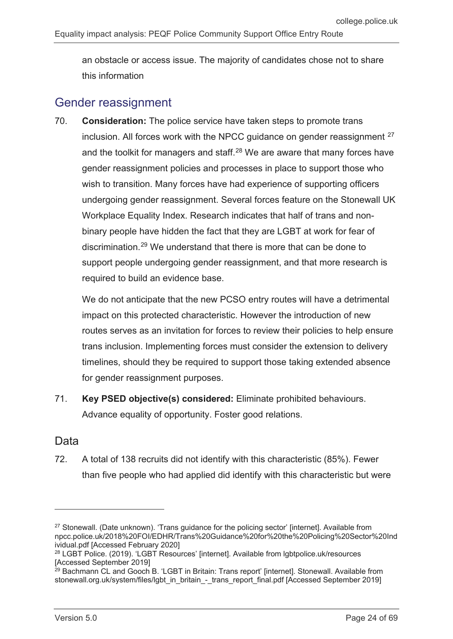an obstacle or access issue. The majority of candidates chose not to share this information

## <span id="page-23-0"></span>Gender reassignment

70. **Consideration:** The police service have taken steps to promote trans inclusion. All forces work with the NPCC quidance on gender reassignment  $27$ and the toolkit for managers and staff.<sup>[28](#page-23-2)</sup> We are aware that many forces have gender reassignment policies and processes in place to support those who wish to transition. Many forces have had experience of supporting officers undergoing gender reassignment. Several forces feature on the Stonewall UK Workplace Equality Index. Research indicates that half of trans and nonbinary people have hidden the fact that they are LGBT at work for fear of discrimination.[29](#page-23-3) We understand that there is more that can be done to support people undergoing gender reassignment, and that more research is required to build an evidence base.

We do not anticipate that the new PCSO entry routes will have a detrimental impact on this protected characteristic. However the introduction of new routes serves as an invitation for forces to review their policies to help ensure trans inclusion. Implementing forces must consider the extension to delivery timelines, should they be required to support those taking extended absence for gender reassignment purposes.

71. **Key PSED objective(s) considered:** Eliminate prohibited behaviours. Advance equality of opportunity. Foster good relations.

### Data

-

72. A total of 138 recruits did not identify with this characteristic (85%). Fewer than five people who had applied did identify with this characteristic but were

<span id="page-23-1"></span><sup>&</sup>lt;sup>27</sup> Stonewall. (Date unknown). 'Trans guidance for the policing sector' [internet]. Available from npcc.police.uk/2018%20FOI/EDHR/Trans%20Guidance%20for%20the%20Policing%20Sector%20Ind ividual.pdf [Accessed February 2020]

<span id="page-23-2"></span><sup>28</sup> LGBT Police. (2019). 'LGBT Resources' [internet]. Available from lgbtpolice.uk/resources [Accessed September 2019]

<span id="page-23-3"></span><sup>&</sup>lt;sup>29</sup> Bachmann CL and Gooch B. 'LGBT in Britain: Trans report' [internet]. Stonewall. Available from stonewall.org.uk/system/files/lgbt\_in\_britain\_-\_trans\_report\_final.pdf [Accessed September 2019]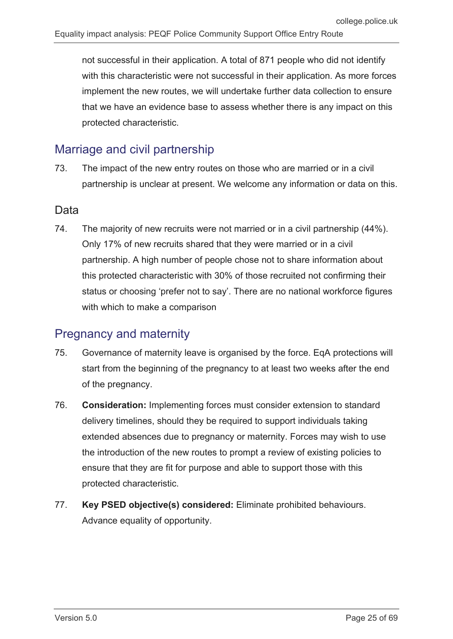not successful in their application. A total of 871 people who did not identify with this characteristic were not successful in their application. As more forces implement the new routes, we will undertake further data collection to ensure that we have an evidence base to assess whether there is any impact on this protected characteristic.

## <span id="page-24-0"></span>Marriage and civil partnership

73. The impact of the new entry routes on those who are married or in a civil partnership is unclear at present. We welcome any information or data on this.

#### Data

74. The majority of new recruits were not married or in a civil partnership (44%). Only 17% of new recruits shared that they were married or in a civil partnership. A high number of people chose not to share information about this protected characteristic with 30% of those recruited not confirming their status or choosing 'prefer not to say'. There are no national workforce figures with which to make a comparison

## <span id="page-24-1"></span>Pregnancy and maternity

- 75. Governance of maternity leave is organised by the force. EqA protections will start from the beginning of the pregnancy to at least two weeks after the end of the pregnancy.
- 76. **Consideration:** Implementing forces must consider extension to standard delivery timelines, should they be required to support individuals taking extended absences due to pregnancy or maternity. Forces may wish to use the introduction of the new routes to prompt a review of existing policies to ensure that they are fit for purpose and able to support those with this protected characteristic.
- 77. **Key PSED objective(s) considered:** Eliminate prohibited behaviours. Advance equality of opportunity.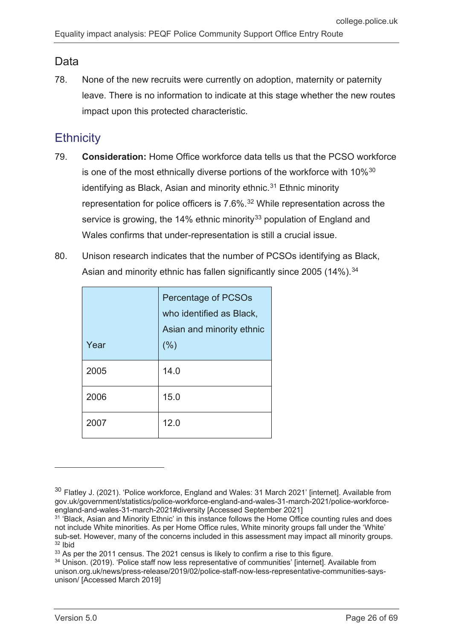### Data

78. None of the new recruits were currently on adoption, maternity or paternity leave. There is no information to indicate at this stage whether the new routes impact upon this protected characteristic.

## <span id="page-25-0"></span>**Ethnicity**

- 79. **Consideration:** Home Office workforce data tells us that the PCSO workforce is one of the most ethnically diverse portions of the workforce with 10%<sup>[30](#page-25-1)</sup> identifying as Black, Asian and minority ethnic. [31](#page-25-2) Ethnic minority representation for police officers is 7.6%.[32](#page-25-3) While representation across the service is growing, the 14% ethnic minority<sup>[33](#page-25-4)</sup> population of England and Wales confirms that under-representation is still a crucial issue.
- 80. Unison research indicates that the number of PCSOs identifying as Black, Asian and minority ethnic has fallen significantly since 2005 (14%).<sup>[34](#page-25-5)</sup>

| Year | <b>Percentage of PCSOs</b><br>who identified as Black,<br>Asian and minority ethnic<br>(% ) |
|------|---------------------------------------------------------------------------------------------|
| 2005 | 14.0                                                                                        |
| 2006 | 15.0                                                                                        |
| 2007 | 12.0                                                                                        |

<span id="page-25-1"></span><sup>&</sup>lt;sup>30</sup> Flatley J. (2021). 'Police workforce, England and Wales: 31 March 2021' [internet]. Available from gov.uk/government/statistics/police-workforce-england-and-wales-31-march-2021/police-workforceengland-and-wales-31-march-2021#diversity [Accessed September 2021]

<span id="page-25-2"></span><sup>&</sup>lt;sup>31</sup> 'Black, Asian and Minority Ethnic' in this instance follows the Home Office counting rules and does not include White minorities. As per Home Office rules, White minority groups fall under the 'White' sub-set. However, many of the concerns included in this assessment may impact all minority groups. <sup>32</sup> Ibid

<span id="page-25-4"></span><span id="page-25-3"></span><sup>33</sup> As per the 2011 census. The 2021 census is likely to confirm a rise to this figure.

<span id="page-25-5"></span><sup>34</sup> Unison. (2019). 'Police staff now less representative of communities' [internet]. Available from unison.org.uk/news/press-release/2019/02/police-staff-now-less-representative-communities-saysunison/ [Accessed March 2019]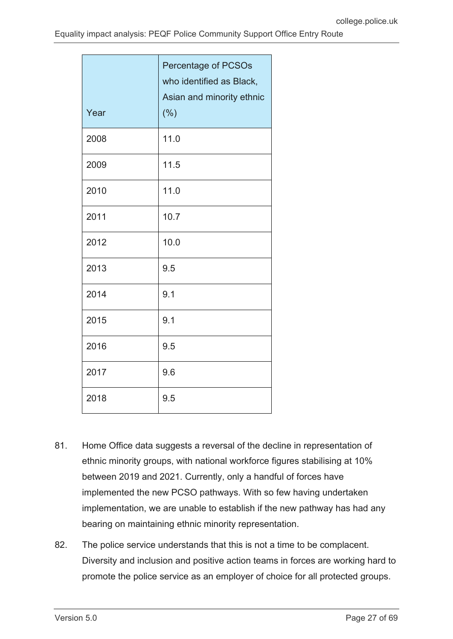| Year | <b>Percentage of PCSOs</b><br>who identified as Black,<br>Asian and minority ethnic<br>(%) |
|------|--------------------------------------------------------------------------------------------|
| 2008 | 11.0                                                                                       |
| 2009 | 11.5                                                                                       |
| 2010 | 11.0                                                                                       |
| 2011 | 10.7                                                                                       |
| 2012 | 10.0                                                                                       |
| 2013 | 9.5                                                                                        |
| 2014 | 9.1                                                                                        |
| 2015 | 9.1                                                                                        |
| 2016 | 9.5                                                                                        |
| 2017 | 9.6                                                                                        |
| 2018 | 9.5                                                                                        |

- 81. Home Office data suggests a reversal of the decline in representation of ethnic minority groups, with national workforce figures stabilising at 10% between 2019 and 2021. Currently, only a handful of forces have implemented the new PCSO pathways. With so few having undertaken implementation, we are unable to establish if the new pathway has had any bearing on maintaining ethnic minority representation.
- 82. The police service understands that this is not a time to be complacent. Diversity and inclusion and positive action teams in forces are working hard to promote the police service as an employer of choice for all protected groups.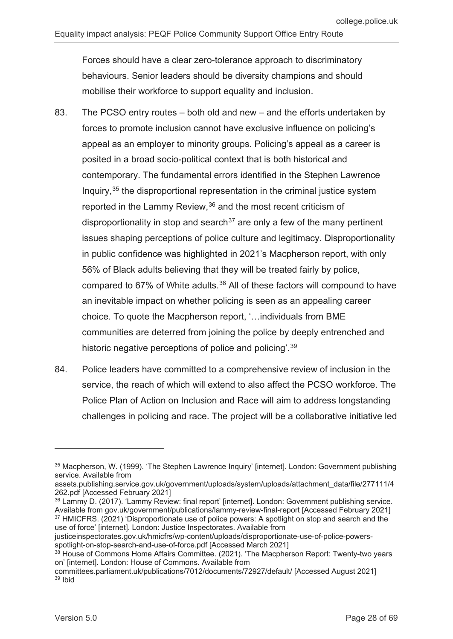Forces should have a clear zero-tolerance approach to discriminatory behaviours. Senior leaders should be diversity champions and should mobilise their workforce to support equality and inclusion.

- 83. The PCSO entry routes both old and new and the efforts undertaken by forces to promote inclusion cannot have exclusive influence on policing's appeal as an employer to minority groups. Policing's appeal as a career is posited in a broad socio-political context that is both historical and contemporary. The fundamental errors identified in the Stephen Lawrence Inquiry,[35](#page-27-0) the disproportional representation in the criminal justice system reported in the Lammy Review,[36](#page-27-1) and the most recent criticism of disproportionality in stop and search<sup>[37](#page-27-2)</sup> are only a few of the many pertinent issues shaping perceptions of police culture and legitimacy. Disproportionality in public confidence was highlighted in 2021's Macpherson report, with only 56% of Black adults believing that they will be treated fairly by police, compared to 67% of White adults.[38](#page-27-3) All of these factors will compound to have an inevitable impact on whether policing is seen as an appealing career choice. To quote the Macpherson report, '…individuals from BME communities are deterred from joining the police by deeply entrenched and historic negative perceptions of police and policing'.<sup>[39](#page-27-4)</sup>
- 84. Police leaders have committed to a comprehensive review of inclusion in the service, the reach of which will extend to also affect the PCSO workforce. The Police Plan of Action on Inclusion and Race will aim to address longstanding challenges in policing and race. The project will be a collaborative initiative led

<span id="page-27-0"></span><sup>&</sup>lt;sup>35</sup> Macpherson, W. (1999). 'The Stephen Lawrence Inquiry' [internet]. London: Government publishing service. Available from

assets.publishing.service.gov.uk/government/uploads/system/uploads/attachment\_data/file/277111/4 262.pdf [Accessed February 2021]

<span id="page-27-1"></span><sup>36</sup> Lammy D. (2017). 'Lammy Review: final report' [internet]. London: Government publishing service. Available from gov.uk/government/publications/lammy-review-final-report [Accessed February 2021] <sup>37</sup> HMICFRS. (2021) 'Disproportionate use of police powers: A spotlight on stop and search and the use of force' [internet]. London: Justice Inspectorates. Available from

<span id="page-27-2"></span>justiceinspectorates.gov.uk/hmicfrs/wp-content/uploads/disproportionate-use-of-police-powersspotlight-on-stop-search-and-use-of-force.pdf [Accessed March 2021]

<span id="page-27-3"></span><sup>&</sup>lt;sup>38</sup> House of Commons Home Affairs Committee. (2021). 'The Macpherson Report: Twenty-two years on' [internet]. London: House of Commons. Available from

<span id="page-27-4"></span>committees.parliament.uk/publications/7012/documents/72927/default/ [Accessed August 2021] <sup>39</sup> Ibid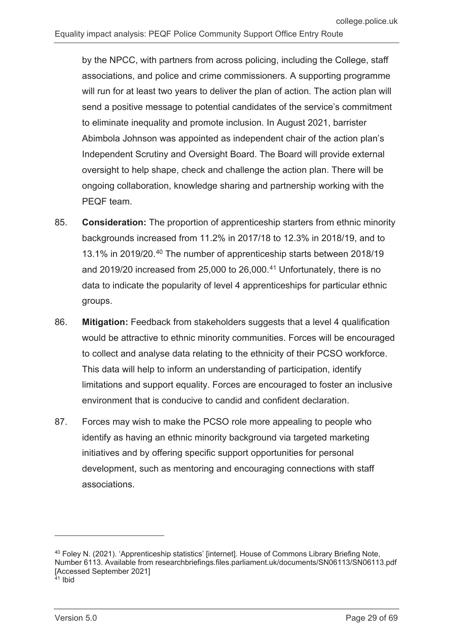by the NPCC, with partners from across policing, including the College, staff associations, and police and crime commissioners. A supporting programme will run for at least two years to deliver the plan of action. The action plan will send a positive message to potential candidates of the service's commitment to eliminate inequality and promote inclusion. In August 2021, barrister Abimbola Johnson was appointed as independent chair of the action plan's Independent Scrutiny and Oversight Board. The Board will provide external oversight to help shape, check and challenge the action plan. There will be ongoing collaboration, knowledge sharing and partnership working with the PEQF team.

- 85. **Consideration:** The proportion of apprenticeship starters from ethnic minority backgrounds increased from 11.2% in 2017/18 to 12.3% in 2018/19, and to 13.1% in 2019/20.[40](#page-28-0) The number of apprenticeship starts between 2018/19 and 2019/20 increased from 25,000 to 26,000.<sup>[41](#page-28-1)</sup> Unfortunately, there is no data to indicate the popularity of level 4 apprenticeships for particular ethnic groups.
- 86. **Mitigation:** Feedback from stakeholders suggests that a level 4 qualification would be attractive to ethnic minority communities. Forces will be encouraged to collect and analyse data relating to the ethnicity of their PCSO workforce. This data will help to inform an understanding of participation, identify limitations and support equality. Forces are encouraged to foster an inclusive environment that is conducive to candid and confident declaration.
- 87. Forces may wish to make the PCSO role more appealing to people who identify as having an ethnic minority background via targeted marketing initiatives and by offering specific support opportunities for personal development, such as mentoring and encouraging connections with staff associations.

<span id="page-28-0"></span><sup>40</sup> Foley N. (2021). 'Apprenticeship statistics' [internet]. House of Commons Library Briefing Note, Number 6113. Available from researchbriefings.files.parliament.uk/documents/SN06113/SN06113.pdf [Accessed September 2021]

<span id="page-28-1"></span><sup>41</sup> Ibid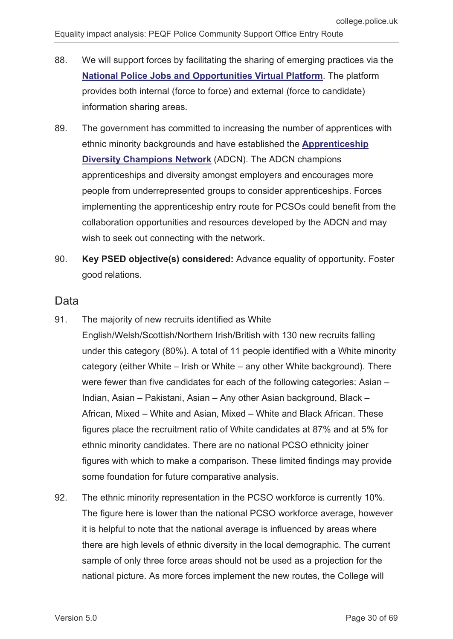- 88. We will support forces by facilitating the sharing of emerging practices via the **[National Police Jobs and Opportunities Virtual Platform](https://recruit.college.police.uk/Pages/home.aspx)**. The platform provides both internal (force to force) and external (force to candidate) information sharing areas.
- 89. The government has committed to increasing the number of apprentices with ethnic minority backgrounds and have established the **[Apprenticeship](https://www.gov.uk/government/groups/apprenticeship-diversity-champions-networkhttps:/www.gov.uk/government/groups/apprenticeship-diversity-champions-network)  [Diversity Champions Network](https://www.gov.uk/government/groups/apprenticeship-diversity-champions-networkhttps:/www.gov.uk/government/groups/apprenticeship-diversity-champions-network)** (ADCN). The ADCN champions apprenticeships and diversity amongst employers and encourages more people from underrepresented groups to consider apprenticeships. Forces implementing the apprenticeship entry route for PCSOs could benefit from the collaboration opportunities and resources developed by the ADCN and may wish to seek out connecting with the network.
- 90. **Key PSED objective(s) considered:** Advance equality of opportunity. Foster good relations.

#### Data

91. The majority of new recruits identified as White

English/Welsh/Scottish/Northern Irish/British with 130 new recruits falling under this category (80%). A total of 11 people identified with a White minority category (either White – Irish or White – any other White background). There were fewer than five candidates for each of the following categories: Asian – Indian, Asian – Pakistani, Asian – Any other Asian background, Black – African, Mixed – White and Asian, Mixed – White and Black African. These figures place the recruitment ratio of White candidates at 87% and at 5% for ethnic minority candidates. There are no national PCSO ethnicity joiner figures with which to make a comparison. These limited findings may provide some foundation for future comparative analysis.

92. The ethnic minority representation in the PCSO workforce is currently 10%. The figure here is lower than the national PCSO workforce average, however it is helpful to note that the national average is influenced by areas where there are high levels of ethnic diversity in the local demographic. The current sample of only three force areas should not be used as a projection for the national picture. As more forces implement the new routes, the College will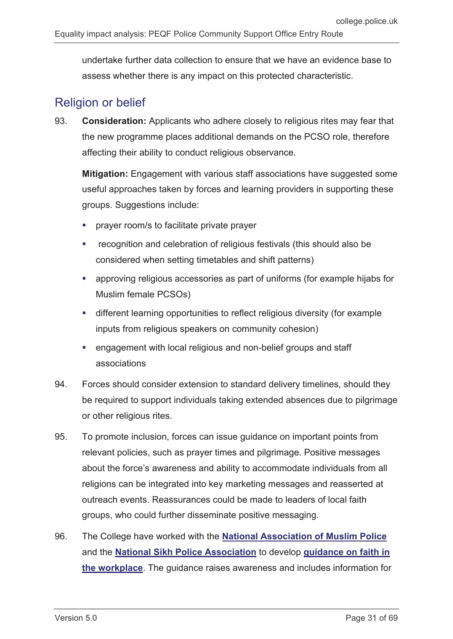undertake further data collection to ensure that we have an evidence base to assess whether there is any impact on this protected characteristic.

## <span id="page-30-0"></span>Religion or belief

93. **Consideration:** Applicants who adhere closely to religious rites may fear that the new programme places additional demands on the PCSO role, therefore affecting their ability to conduct religious observance.

**Mitigation:** Engagement with various staff associations have suggested some useful approaches taken by forces and learning providers in supporting these groups. Suggestions include:

- prayer room/s to facilitate private prayer
- **•** recognition and celebration of religious festivals (this should also be considered when setting timetables and shift patterns)
- approving religious accessories as part of uniforms (for example hijabs for Muslim female PCSOs)
- different learning opportunities to reflect religious diversity (for example inputs from religious speakers on community cohesion)
- engagement with local religious and non-belief groups and staff associations
- 94. Forces should consider extension to standard delivery timelines, should they be required to support individuals taking extended absences due to pilgrimage or other religious rites.
- 95. To promote inclusion, forces can issue guidance on important points from relevant policies, such as prayer times and pilgrimage. Positive messages about the force's awareness and ability to accommodate individuals from all religions can be integrated into key marketing messages and reasserted at outreach events. Reassurances could be made to leaders of local faith groups, who could further disseminate positive messaging.
- 96. The College have worked with the **[National Association of Muslim Police](https://muslim.police.uk/)** and the **[National Sikh Police Association](https://www.joiningthepolice.co.uk/supporting-diversity/support-organisations/national-sikh-police-association)** to develop **[guidance on faith in](https://www.college.police.uk/support-forces/diversity-and-inclusion)  [the workplace](https://www.college.police.uk/support-forces/diversity-and-inclusion)**. The guidance raises awareness and includes information for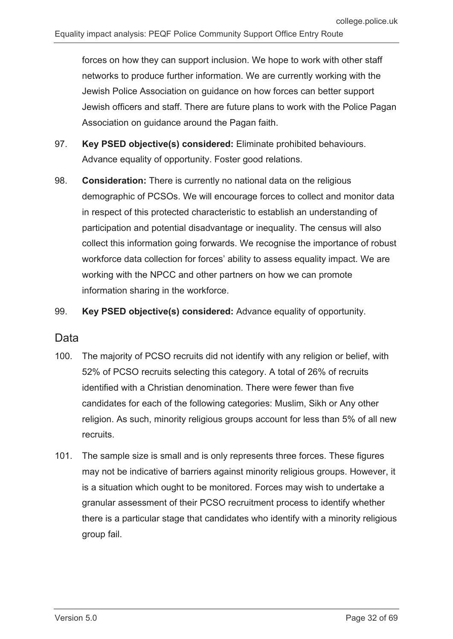forces on how they can support inclusion. We hope to work with other staff networks to produce further information. We are currently working with the Jewish Police Association on guidance on how forces can better support Jewish officers and staff. There are future plans to work with the Police Pagan Association on guidance around the Pagan faith.

- 97. **Key PSED objective(s) considered:** Eliminate prohibited behaviours. Advance equality of opportunity. Foster good relations.
- 98. **Consideration:** There is currently no national data on the religious demographic of PCSOs. We will encourage forces to collect and monitor data in respect of this protected characteristic to establish an understanding of participation and potential disadvantage or inequality. The census will also collect this information going forwards. We recognise the importance of robust workforce data collection for forces' ability to assess equality impact. We are working with the NPCC and other partners on how we can promote information sharing in the workforce.
- 99. **Key PSED objective(s) considered:** Advance equality of opportunity.

### Data

- 100. The majority of PCSO recruits did not identify with any religion or belief, with 52% of PCSO recruits selecting this category. A total of 26% of recruits identified with a Christian denomination. There were fewer than five candidates for each of the following categories: Muslim, Sikh or Any other religion. As such, minority religious groups account for less than 5% of all new recruits.
- 101. The sample size is small and is only represents three forces. These figures may not be indicative of barriers against minority religious groups. However, it is a situation which ought to be monitored. Forces may wish to undertake a granular assessment of their PCSO recruitment process to identify whether there is a particular stage that candidates who identify with a minority religious group fail.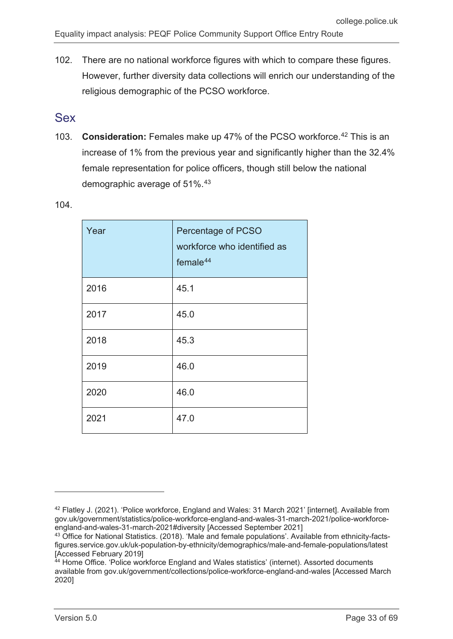102. There are no national workforce figures with which to compare these figures. However, further diversity data collections will enrich our understanding of the religious demographic of the PCSO workforce.

### <span id="page-32-0"></span>Sex

103. **Consideration:** Females make up 47% of the PCSO workforce.[42](#page-32-1) This is an increase of 1% from the previous year and significantly higher than the 32.4% female representation for police officers, though still below the national demographic average of 51%.[43](#page-32-2)

| Year | Percentage of PCSO<br>workforce who identified as<br>female $44$ |
|------|------------------------------------------------------------------|
| 2016 | 45.1                                                             |
| 2017 | 45.0                                                             |
| 2018 | 45.3                                                             |
| 2019 | 46.0                                                             |
| 2020 | 46.0                                                             |
| 2021 | 47.0                                                             |

104.

<span id="page-32-1"></span><sup>&</sup>lt;sup>42</sup> Flatley J. (2021). 'Police workforce, England and Wales: 31 March 2021' [internet]. Available from gov.uk/government/statistics/police-workforce-england-and-wales-31-march-2021/police-workforceengland-and-wales-31-march-2021#diversity [Accessed September 2021]

<span id="page-32-2"></span><sup>&</sup>lt;sup>43</sup> Office for National Statistics. (2018). 'Male and female populations'. Available from ethnicity-factsfigures.service.gov.uk/uk-population-by-ethnicity/demographics/male-and-female-populations/latest [Accessed February 2019]

<span id="page-32-3"></span><sup>&</sup>lt;sup>44</sup> Home Office. 'Police workforce England and Wales statistics' (internet). Assorted documents available from gov.uk/government/collections/police-workforce-england-and-wales [Accessed March 2020]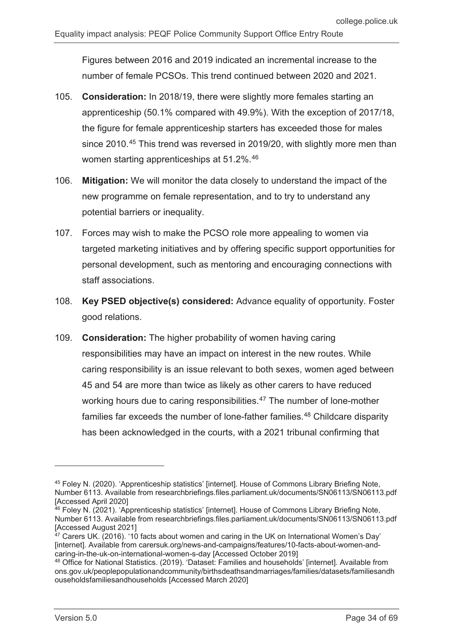Figures between 2016 and 2019 indicated an incremental increase to the number of female PCSOs. This trend continued between 2020 and 2021.

- 105. **Consideration:** In 2018/19, there were slightly more females starting an apprenticeship (50.1% compared with 49.9%). With the exception of 2017/18, the figure for female apprenticeship starters has exceeded those for males since 2010.<sup>[45](#page-33-0)</sup> This trend was reversed in 2019/20, with slightly more men than women starting apprenticeships at 51.2%.<sup>[46](#page-33-1)</sup>
- 106. **Mitigation:** We will monitor the data closely to understand the impact of the new programme on female representation, and to try to understand any potential barriers or inequality.
- 107. Forces may wish to make the PCSO role more appealing to women via targeted marketing initiatives and by offering specific support opportunities for personal development, such as mentoring and encouraging connections with staff associations.
- 108. **Key PSED objective(s) considered:** Advance equality of opportunity. Foster good relations.
- 109. **Consideration:** The higher probability of women having caring responsibilities may have an impact on interest in the new routes. While caring responsibility is an issue relevant to both sexes, women aged between 45 and 54 are more than twice as likely as other carers to have reduced working hours due to caring responsibilities.<sup>[47](#page-33-2)</sup> The number of lone-mother families far exceeds the number of lone-father families.<sup>[48](#page-33-3)</sup> Childcare disparity has been acknowledged in the courts, with a 2021 tribunal confirming that

<span id="page-33-0"></span><sup>45</sup> Foley N. (2020). 'Apprenticeship statistics' [internet]. House of Commons Library Briefing Note, Number 6113. Available from researchbriefings.files.parliament.uk/documents/SN06113/SN06113.pdf [Accessed April 2020]

<span id="page-33-1"></span><sup>&</sup>lt;sup>46</sup> Foley N. (2021). 'Apprenticeship statistics' [internet]. House of Commons Library Briefing Note, Number 6113. Available from researchbriefings.files.parliament.uk/documents/SN06113/SN06113.pdf [Accessed August 2021]

<span id="page-33-2"></span> $47$  Carers UK. (2016). '10 facts about women and caring in the UK on International Women's Day' [internet]. Available from carersuk.org/news-and-campaigns/features/10-facts-about-women-andcaring-in-the-uk-on-international-women-s-day [Accessed October 2019]

<span id="page-33-3"></span><sup>48</sup> Office for National Statistics. (2019). 'Dataset: Families and households' [internet]. Available from ons.gov.uk/peoplepopulationandcommunity/birthsdeathsandmarriages/families/datasets/familiesandh ouseholdsfamiliesandhouseholds [Accessed March 2020]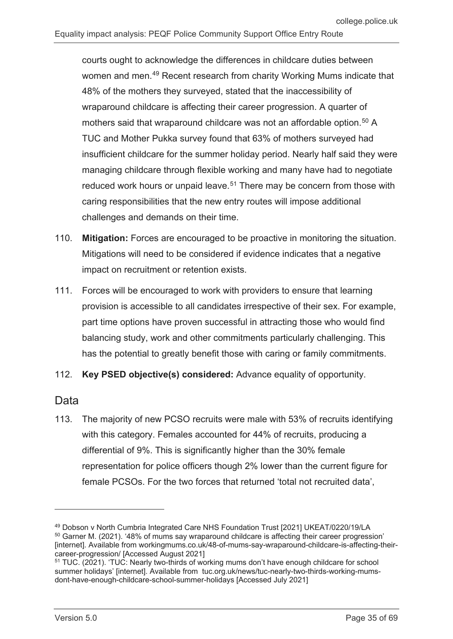courts ought to acknowledge the differences in childcare duties between women and men.[49](#page-34-0) Recent research from charity Working Mums indicate that 48% of the mothers they surveyed, stated that the inaccessibility of wraparound childcare is affecting their career progression. A quarter of mothers said that wraparound childcare was not an affordable option.<sup>[50](#page-34-1)</sup> A TUC and Mother Pukka survey found that 63% of mothers surveyed had insufficient childcare for the summer holiday period. Nearly half said they were managing childcare through flexible working and many have had to negotiate reduced work hours or unpaid leave.<sup>[51](#page-34-2)</sup> There may be concern from those with caring responsibilities that the new entry routes will impose additional challenges and demands on their time.

- 110. **Mitigation:** Forces are encouraged to be proactive in monitoring the situation. Mitigations will need to be considered if evidence indicates that a negative impact on recruitment or retention exists.
- 111. Forces will be encouraged to work with providers to ensure that learning provision is accessible to all candidates irrespective of their sex. For example, part time options have proven successful in attracting those who would find balancing study, work and other commitments particularly challenging. This has the potential to greatly benefit those with caring or family commitments.
- 112. **Key PSED objective(s) considered:** Advance equality of opportunity.

#### Data

-

113. The majority of new PCSO recruits were male with 53% of recruits identifying with this category. Females accounted for 44% of recruits, producing a differential of 9%. This is significantly higher than the 30% female representation for police officers though 2% lower than the current figure for female PCSOs. For the two forces that returned 'total not recruited data',

<span id="page-34-1"></span><span id="page-34-0"></span><sup>49</sup> Dobson v North Cumbria Integrated Care NHS Foundation Trust [2021] UKEAT/0220/19/LA  $50$  Garner M. (2021). '48% of mums say wraparound childcare is affecting their career progression' [internet]. Available from workingmums.co.uk/48-of-mums-say-wraparound-childcare-is-affecting-theircareer-progression/ [Accessed August 2021]

<span id="page-34-2"></span><sup>&</sup>lt;sup>51</sup> TUC. (2021). 'TUC: Nearly two-thirds of working mums don't have enough childcare for school summer holidays' [internet]. Available from tuc.org.uk/news/tuc-nearly-two-thirds-working-mumsdont-have-enough-childcare-school-summer-holidays [Accessed July 2021]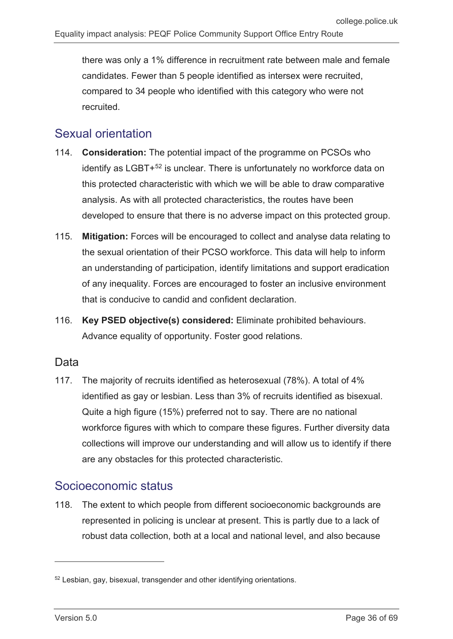there was only a 1% difference in recruitment rate between male and female candidates. Fewer than 5 people identified as intersex were recruited, compared to 34 people who identified with this category who were not recruited.

## <span id="page-35-0"></span>Sexual orientation

- 114. **Consideration:** The potential impact of the programme on PCSOs who identify as LGBT+<sup>[52](#page-35-2)</sup> is unclear. There is unfortunately no workforce data on this protected characteristic with which we will be able to draw comparative analysis. As with all protected characteristics, the routes have been developed to ensure that there is no adverse impact on this protected group.
- 115. **Mitigation:** Forces will be encouraged to collect and analyse data relating to the sexual orientation of their PCSO workforce. This data will help to inform an understanding of participation, identify limitations and support eradication of any inequality. Forces are encouraged to foster an inclusive environment that is conducive to candid and confident declaration.
- 116. **Key PSED objective(s) considered:** Eliminate prohibited behaviours. Advance equality of opportunity. Foster good relations.

### **Data**

117. The majority of recruits identified as heterosexual (78%). A total of 4% identified as gay or lesbian. Less than 3% of recruits identified as bisexual. Quite a high figure (15%) preferred not to say. There are no national workforce figures with which to compare these figures. Further diversity data collections will improve our understanding and will allow us to identify if there are any obstacles for this protected characteristic.

## <span id="page-35-1"></span>Socioeconomic status

118. The extent to which people from different socioeconomic backgrounds are represented in policing is unclear at present. This is partly due to a lack of robust data collection, both at a local and national level, and also because

<span id="page-35-2"></span><sup>52</sup> Lesbian, gay, bisexual, transgender and other identifying orientations.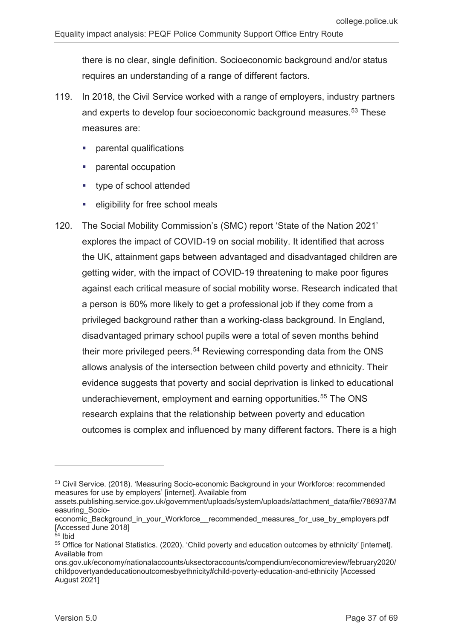there is no clear, single definition. Socioeconomic background and/or status requires an understanding of a range of different factors.

- 119. In 2018, the Civil Service worked with a range of employers, industry partners and experts to develop four socioeconomic background measures.<sup>[53](#page-36-0)</sup> These measures are:
	- parental qualifications
	- parental occupation
	- **type of school attended**
	- **Exercise 1** eligibility for free school meals
- 120. The Social Mobility Commission's (SMC) report 'State of the Nation 2021' explores the impact of COVID-19 on social mobility. It identified that across the UK, attainment gaps between advantaged and disadvantaged children are getting wider, with the impact of COVID-19 threatening to make poor figures against each critical measure of social mobility worse. Research indicated that a person is 60% more likely to get a professional job if they come from a privileged background rather than a working-class background. In England, disadvantaged primary school pupils were a total of seven months behind their more privileged peers.<sup>[54](#page-36-1)</sup> Reviewing corresponding data from the ONS allows analysis of the intersection between child poverty and ethnicity. Their evidence suggests that poverty and social deprivation is linked to educational underachievement, employment and earning opportunities.<sup>[55](#page-36-2)</sup> The ONS research explains that the relationship between poverty and education outcomes is complex and influenced by many different factors. There is a high

<span id="page-36-0"></span><sup>&</sup>lt;sup>53</sup> Civil Service. (2018). 'Measuring Socio-economic Background in your Workforce: recommended measures for use by employers' [internet]. Available from

assets.publishing.service.gov.uk/government/uploads/system/uploads/attachment\_data/file/786937/M easuring\_Socio-

economic Background in your Workforce recommended measures for use by employers.pdf [Accessed June 2018]

<span id="page-36-1"></span><sup>54</sup> Ibid

<span id="page-36-2"></span><sup>55</sup> Office for National Statistics. (2020). 'Child poverty and education outcomes by ethnicity' [internet]. Available from

ons.gov.uk/economy/nationalaccounts/uksectoraccounts/compendium/economicreview/february2020/ childpovertyandeducationoutcomesbyethnicity#child-poverty-education-and-ethnicity [Accessed August 2021]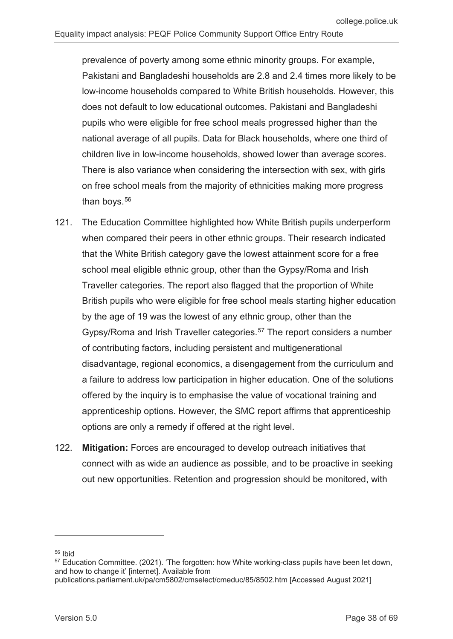prevalence of poverty among some ethnic minority groups. For example, Pakistani and Bangladeshi households are 2.8 and 2.4 times more likely to be low-income households compared to White British households. However, this does not default to low educational outcomes. Pakistani and Bangladeshi pupils who were eligible for free school meals progressed higher than the national average of all pupils. Data for Black households, where one third of children live in low-income households, showed lower than average scores. There is also variance when considering the intersection with sex, with girls on free school meals from the majority of ethnicities making more progress than boys. $56$ 

- 121. The Education Committee highlighted how White British pupils underperform when compared their peers in other ethnic groups. Their research indicated that the White British category gave the lowest attainment score for a free school meal eligible ethnic group, other than the Gypsy/Roma and Irish Traveller categories. The report also flagged that the proportion of White British pupils who were eligible for free school meals starting higher education by the age of 19 was the lowest of any ethnic group, other than the Gypsy/Roma and Irish Traveller categories.<sup>[57](#page-37-1)</sup> The report considers a number of contributing factors, including persistent and multigenerational disadvantage, regional economics, a disengagement from the curriculum and a failure to address low participation in higher education. One of the solutions offered by the inquiry is to emphasise the value of vocational training and apprenticeship options. However, the SMC report affirms that apprenticeship options are only a remedy if offered at the right level.
- 122. **Mitigation:** Forces are encouraged to develop outreach initiatives that connect with as wide an audience as possible, and to be proactive in seeking out new opportunities. Retention and progression should be monitored, with

<span id="page-37-0"></span><sup>56</sup> Ibid

<span id="page-37-1"></span><sup>&</sup>lt;sup>57</sup> Education Committee. (2021). 'The forgotten: how White working-class pupils have been let down, and how to change it' [internet]. Available from

publications.parliament.uk/pa/cm5802/cmselect/cmeduc/85/8502.htm [Accessed August 2021]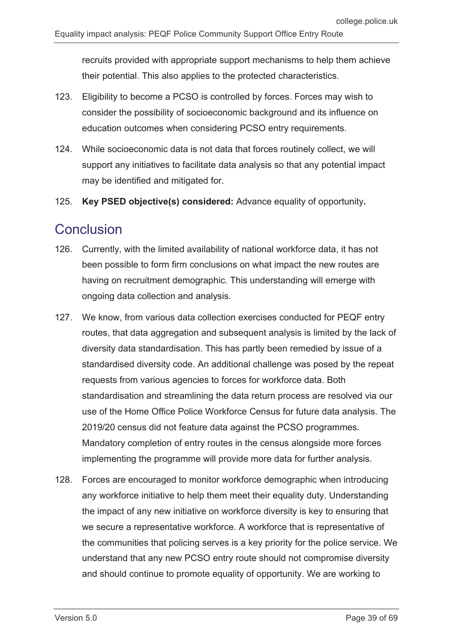recruits provided with appropriate support mechanisms to help them achieve their potential. This also applies to the protected characteristics.

- 123. Eligibility to become a PCSO is controlled by forces. Forces may wish to consider the possibility of socioeconomic background and its influence on education outcomes when considering PCSO entry requirements.
- 124. While socioeconomic data is not data that forces routinely collect, we will support any initiatives to facilitate data analysis so that any potential impact may be identified and mitigated for.
- 125. **Key PSED objective(s) considered:** Advance equality of opportunity**.**

## <span id="page-38-0"></span>**Conclusion**

- 126. Currently, with the limited availability of national workforce data, it has not been possible to form firm conclusions on what impact the new routes are having on recruitment demographic. This understanding will emerge with ongoing data collection and analysis.
- 127. We know, from various data collection exercises conducted for PEQF entry routes, that data aggregation and subsequent analysis is limited by the lack of diversity data standardisation. This has partly been remedied by issue of a standardised diversity code. An additional challenge was posed by the repeat requests from various agencies to forces for workforce data. Both standardisation and streamlining the data return process are resolved via our use of the Home Office Police Workforce Census for future data analysis. The 2019/20 census did not feature data against the PCSO programmes. Mandatory completion of entry routes in the census alongside more forces implementing the programme will provide more data for further analysis.
- 128. Forces are encouraged to monitor workforce demographic when introducing any workforce initiative to help them meet their equality duty. Understanding the impact of any new initiative on workforce diversity is key to ensuring that we secure a representative workforce. A workforce that is representative of the communities that policing serves is a key priority for the police service. We understand that any new PCSO entry route should not compromise diversity and should continue to promote equality of opportunity. We are working to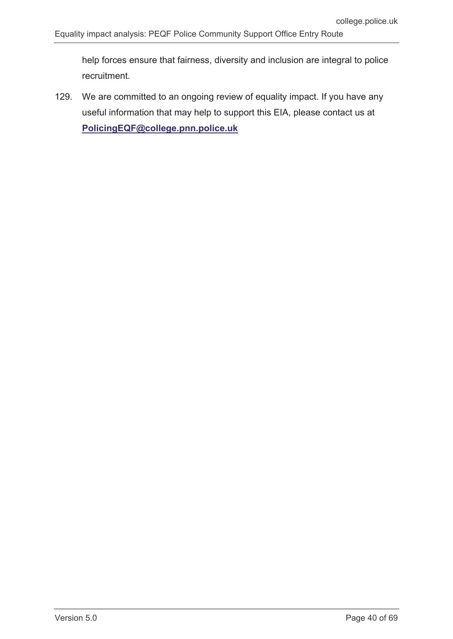help forces ensure that fairness, diversity and inclusion are integral to police recruitment.

129. We are committed to an ongoing review of equality impact. If you have any useful information that may help to support this EIA, please contact us at **[PolicingEQF@college.pnn.police.uk](mailto:PolicingEQF@college.pnn.police.uk)**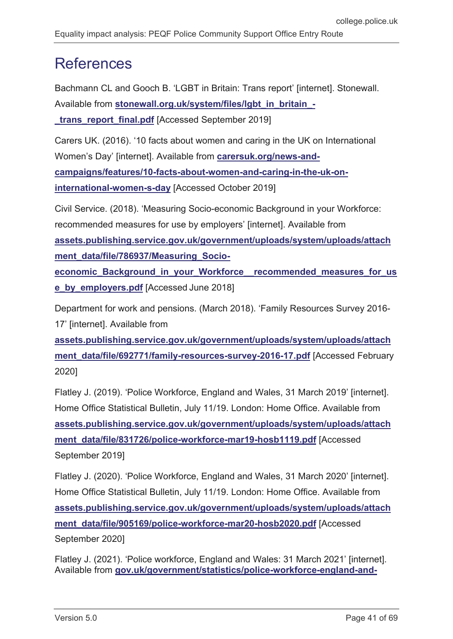# <span id="page-40-0"></span>**References**

Bachmann CL and Gooch B. 'LGBT in Britain: Trans report' [internet]. Stonewall. Available from **[stonewall.org.uk/system/files/lgbt\\_in\\_britain\\_](https://www.stonewall.org.uk/system/files/lgbt_in_britain_-_trans_report_final.pdf) trans report final.pdf** [Accessed September 2019]

Carers UK. (2016). '10 facts about women and caring in the UK on International Women's Day' [internet]. Available from **[carersuk.org/news-and](https://www.carersuk.org/news-and-campaigns/features/10-facts-about-women-and-caring-in-the-uk-on-international-women-s-day)[campaigns/features/10-facts-about-women-and-caring-in-the-uk-on](https://www.carersuk.org/news-and-campaigns/features/10-facts-about-women-and-caring-in-the-uk-on-international-women-s-day)[international-women-s-day](https://www.carersuk.org/news-and-campaigns/features/10-facts-about-women-and-caring-in-the-uk-on-international-women-s-day)** [Accessed October 2019]

Civil Service. (2018). 'Measuring Socio-economic Background in your Workforce: recommended measures for use by employers' [internet]. Available from **[assets.publishing.service.gov.uk/government/uploads/system/uploads/attach](https://assets.publishing.service.gov.uk/government/uploads/system/uploads/attachment_data/file/786937/Measuring_Socio-economic_Background_in_your_Workforce__recommended_measures_for_use_by_employers.pdf) [ment\\_data/file/786937/Measuring\\_Socio](https://assets.publishing.service.gov.uk/government/uploads/system/uploads/attachment_data/file/786937/Measuring_Socio-economic_Background_in_your_Workforce__recommended_measures_for_use_by_employers.pdf)[economic\\_Background\\_in\\_your\\_Workforce\\_\\_recommended\\_measures\\_for\\_us](https://assets.publishing.service.gov.uk/government/uploads/system/uploads/attachment_data/file/786937/Measuring_Socio-economic_Background_in_your_Workforce__recommended_measures_for_use_by_employers.pdf) [e\\_by\\_employers.pdf](https://assets.publishing.service.gov.uk/government/uploads/system/uploads/attachment_data/file/786937/Measuring_Socio-economic_Background_in_your_Workforce__recommended_measures_for_use_by_employers.pdf)** [Accessed June 2018]

Department for work and pensions. (March 2018). 'Family Resources Survey 2016- 17' [internet]. Available from

**[assets.publishing.service.gov.uk/government/uploads/system/uploads/attach](https://assets.publishing.service.gov.uk/government/uploads/system/uploads/attachment_data/file/692771/family-resources-survey-2016-17.pdf)** [ment\\_data/file/692771/family-resources-survey-2016-17.pdf](https://assets.publishing.service.gov.uk/government/uploads/system/uploads/attachment_data/file/692771/family-resources-survey-2016-17.pdf) [Accessed February 2020]

Flatley J. (2019). 'Police Workforce, England and Wales, 31 March 2019' [internet]. Home Office Statistical Bulletin, July 11/19. London: Home Office. Available from **[assets.publishing.service.gov.uk/government/uploads/system/uploads/attach](https://assets.publishing.service.gov.uk/government/uploads/system/uploads/attachment_data/file/831726/police-workforce-mar19-hosb1119.pdf)** [ment\\_data/file/831726/police-workforce-mar19-hosb1119.pdf](https://assets.publishing.service.gov.uk/government/uploads/system/uploads/attachment_data/file/831726/police-workforce-mar19-hosb1119.pdf) [Accessed September 2019]

Flatley J. (2020). 'Police Workforce, England and Wales, 31 March 2020' [internet]. Home Office Statistical Bulletin, July 11/19. London: Home Office. Available from **[assets.publishing.service.gov.uk/government/uploads/system/uploads/attach](https://assets.publishing.service.gov.uk/government/uploads/system/uploads/attachment_data/file/905169/police-workforce-mar20-hosb2020.pdf) [ment\\_data/file/905169/police-workforce-mar20-hosb2020.pdf](https://assets.publishing.service.gov.uk/government/uploads/system/uploads/attachment_data/file/905169/police-workforce-mar20-hosb2020.pdf)** [Accessed September 2020]

Flatley J. (2021). 'Police workforce, England and Wales: 31 March 2021' [internet]. Available from **[gov.uk/government/statistics/police-workforce-england-and-](https://www.gov.uk/government/statistics/police-workforce-england-and-wales-31-march-2021/police-workforce-england-and-wales-31-march-2021#diversity)**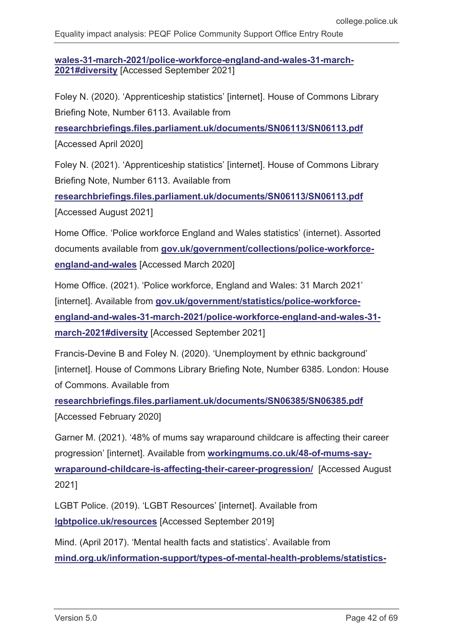**[wales-31-march-2021/police-workforce-england-and-wales-31-march-](https://www.gov.uk/government/statistics/police-workforce-england-and-wales-31-march-2021/police-workforce-england-and-wales-31-march-2021#diversity)[2021#diversity](https://www.gov.uk/government/statistics/police-workforce-england-and-wales-31-march-2021/police-workforce-england-and-wales-31-march-2021#diversity)** [Accessed September 2021]

Foley N. (2020). 'Apprenticeship statistics' [internet]. House of Commons Library Briefing Note, Number 6113. Available from

**[researchbriefings.files.parliament.uk/documents/SN06113/SN06113.pdf](https://researchbriefings.files.parliament.uk/documents/SN06113/SN06113.pdf)** [Accessed April 2020]

Foley N. (2021). 'Apprenticeship statistics' [internet]. House of Commons Library Briefing Note, Number 6113. Available from

**[researchbriefings.files.parliament.uk/documents/SN06113/SN06113.pdf](https://researchbriefings.files.parliament.uk/documents/SN06113/SN06113.pdf)** [Accessed August 2021]

Home Office. 'Police workforce England and Wales statistics' (internet). Assorted documents available from **[gov.uk/government/collections/police-workforce](https://www.gov.uk/government/collections/police-workforce-england-and-wales)[england-and-wales](https://www.gov.uk/government/collections/police-workforce-england-and-wales)** [Accessed March 2020]

Home Office. (2021). 'Police workforce, England and Wales: 31 March 2021' [internet]. Available from [gov.uk/government/statistics/police-workforce](https://www.gov.uk/government/statistics/police-workforce-england-and-wales-31-march-2021/police-workforce-england-and-wales-31-march-2021#diversity)**[england-and-wales-31-march-2021/police-workforce-england-and-wales-31](https://www.gov.uk/government/statistics/police-workforce-england-and-wales-31-march-2021/police-workforce-england-and-wales-31-march-2021#diversity) [march-2021#diversity](https://www.gov.uk/government/statistics/police-workforce-england-and-wales-31-march-2021/police-workforce-england-and-wales-31-march-2021#diversity)** [Accessed September 2021]

Francis-Devine B and Foley N. (2020). 'Unemployment by ethnic background' [internet]. House of Commons Library Briefing Note, Number 6385. London: House of Commons. Available from

**[researchbriefings.files.parliament.uk/documents/SN06385/SN06385.pdf](https://researchbriefings.files.parliament.uk/documents/SN06385/SN06385.pdf)** [Accessed February 2020]

Garner M. (2021). '48% of mums say wraparound childcare is affecting their career progression' [internet]. Available from **[workingmums.co.uk/48-of-mums-say](https://www.workingmums.co.uk/48-of-mums-say-wraparound-childcare-is-affecting-their-career-progression/)[wraparound-childcare-is-affecting-their-career-progression/](https://www.workingmums.co.uk/48-of-mums-say-wraparound-childcare-is-affecting-their-career-progression/)** [Accessed August 2021]

LGBT Police. (2019). 'LGBT Resources' [internet]. Available from **[lgbtpolice.uk/resources](https://www.lgbtpolice.uk/resources)** [Accessed September 2019]

Mind. (April 2017). 'Mental health facts and statistics'. Available from **[mind.org.uk/information-support/types-of-mental-health-problems/statistics-](https://www.mind.org.uk/information-support/types-of-mental-health-problems/statistics-and-facts-about-mental-health/how-common-are-mental-health-problems/)**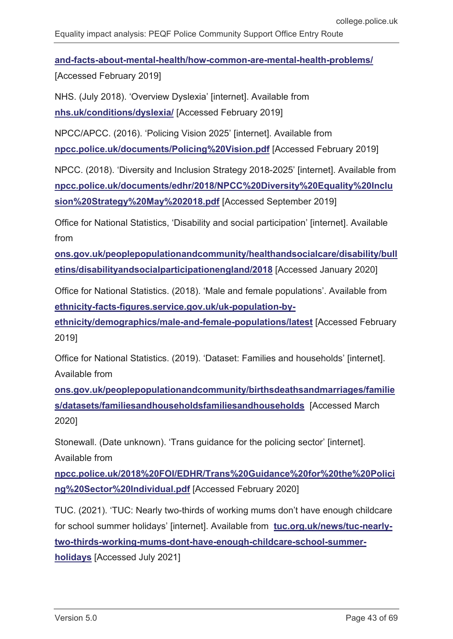**[and-facts-about-mental-health/how-common-are-mental-health-problems/](https://www.mind.org.uk/information-support/types-of-mental-health-problems/statistics-and-facts-about-mental-health/how-common-are-mental-health-problems/)**

[Accessed February 2019]

NHS. (July 2018). 'Overview Dyslexia' [internet]. Available from **[nhs.uk/conditions/dyslexia/](https://www.nhs.uk/conditions/dyslexia/)** [Accessed February 2019]

NPCC/APCC. (2016). 'Policing Vision 2025' [internet]. Available from **[npcc.police.uk/documents/Policing%20Vision.pdf](https://www.npcc.police.uk/documents/Policing%20Vision.pdf)** [Accessed February 2019]

NPCC. (2018). 'Diversity and Inclusion Strategy 2018-2025' [internet]. Available from **[npcc.police.uk/documents/edhr/2018/NPCC%20Diversity%20Equality%20Inclu](https://www.npcc.police.uk/documents/edhr/2018/NPCC%20Diversity%20Equality%20Inclusion%20Strategy%20May%202018.pdf) [sion%20Strategy%20May%202018.pdf](https://www.npcc.police.uk/documents/edhr/2018/NPCC%20Diversity%20Equality%20Inclusion%20Strategy%20May%202018.pdf)** [Accessed September 2019]

Office for National Statistics, 'Disability and social participation' [internet]. Available from

**[ons.gov.uk/peoplepopulationandcommunity/healthandsocialcare/disability/bull](https://www.ons.gov.uk/peoplepopulationandcommunity/healthandsocialcare/disability/bulletins/disabilityandsocialparticipationengland/2018) [etins/disabilityandsocialparticipationengland/2018](https://www.ons.gov.uk/peoplepopulationandcommunity/healthandsocialcare/disability/bulletins/disabilityandsocialparticipationengland/2018)** [Accessed January 2020]

Office for National Statistics. (2018). 'Male and female populations'. Available from **[ethnicity-facts-figures.service.gov.uk/uk-population-by-](https://www.ethnicity-facts-figures.service.gov.uk/uk-population-by-ethnicity/demographics/male-and-female-populations/latest)**

**[ethnicity/demographics/male-and-female-populations/latest](https://www.ethnicity-facts-figures.service.gov.uk/uk-population-by-ethnicity/demographics/male-and-female-populations/latest)** [Accessed February 2019]

Office for National Statistics. (2019). 'Dataset: Families and households' [internet]. Available from

**[ons.gov.uk/peoplepopulationandcommunity/birthsdeathsandmarriages/familie](https://www.ons.gov.uk/peoplepopulationandcommunity/birthsdeathsandmarriages/families/datasets/familiesandhouseholdsfamiliesandhouseholds) [s/datasets/familiesandhouseholdsfamiliesandhouseholds](https://www.ons.gov.uk/peoplepopulationandcommunity/birthsdeathsandmarriages/families/datasets/familiesandhouseholdsfamiliesandhouseholds)** [Accessed March 2020]

Stonewall. (Date unknown). 'Trans guidance for the policing sector' [internet]. Available from

**[npcc.police.uk/2018%20FOI/EDHR/Trans%20Guidance%20for%20the%20Polici](https://www.npcc.police.uk/2018%20FOI/EDHR/Trans%20Guidance%20for%20the%20Policing%20Sector%20Individual.pdf) [ng%20Sector%20Individual.pdf](https://www.npcc.police.uk/2018%20FOI/EDHR/Trans%20Guidance%20for%20the%20Policing%20Sector%20Individual.pdf)** [Accessed February 2020]

TUC. (2021). 'TUC: Nearly two-thirds of working mums don't have enough childcare for school summer holidays' [internet]. Available from **[tuc.org.uk/news/tuc-nearly](https://www.tuc.org.uk/news/tuc-nearly-two-thirds-working-mums-dont-have-enough-childcare-school-summer-holidays)[two-thirds-working-mums-dont-have-enough-childcare-school-summer](https://www.tuc.org.uk/news/tuc-nearly-two-thirds-working-mums-dont-have-enough-childcare-school-summer-holidays)[holidays](https://www.tuc.org.uk/news/tuc-nearly-two-thirds-working-mums-dont-have-enough-childcare-school-summer-holidays)** [Accessed July 2021]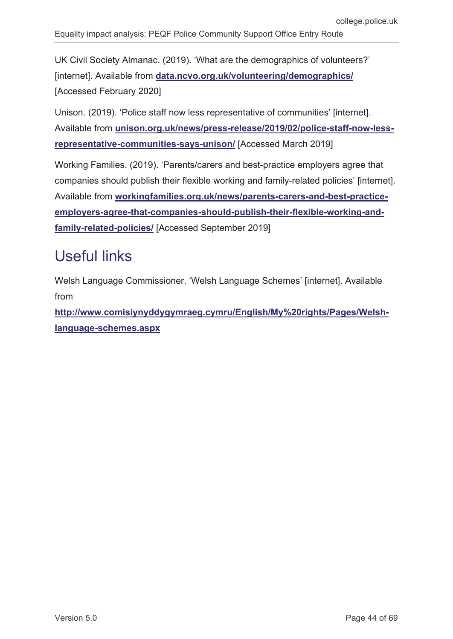UK Civil Society Almanac. (2019). 'What are the demographics of volunteers?' [internet]. Available from **[data.ncvo.org.uk/volunteering/demographics/](https://data.ncvo.org.uk/volunteering/demographics/)** [Accessed February 2020]

Unison. (2019). 'Police staff now less representative of communities' [internet]. Available from **[unison.org.uk/news/press-release/2019/02/police-staff-now-less](https://www.unison.org.uk/news/press-release/2019/02/police-staff-now-less-representative-communities-says-unison/)[representative-communities-says-unison/](https://www.unison.org.uk/news/press-release/2019/02/police-staff-now-less-representative-communities-says-unison/)** [Accessed March 2019]

Working Families. (2019). 'Parents/carers and best-practice employers agree that companies should publish their flexible working and family-related policies' [internet]. Available from **[workingfamilies.org.uk/news/parents-carers-and-best-practice](https://www.workingfamilies.org.uk/news/parents-carers-and-best-practice-employers-agree-that-companies-should-publish-their-flexible-working-and-family-related-policies/)[employers-agree-that-companies-should-publish-their-flexible-working-and](https://www.workingfamilies.org.uk/news/parents-carers-and-best-practice-employers-agree-that-companies-should-publish-their-flexible-working-and-family-related-policies/)[family-related-policies/](https://www.workingfamilies.org.uk/news/parents-carers-and-best-practice-employers-agree-that-companies-should-publish-their-flexible-working-and-family-related-policies/)** [Accessed September 2019]

# <span id="page-43-0"></span>Useful links

Welsh Language Commissioner. 'Welsh Language Schemes' [internet]. Available from

**[http://www.comisiynyddygymraeg.cymru/English/My%20rights/Pages/Welsh](http://www.comisiynyddygymraeg.cymru/English/My%20rights/Pages/Welsh-language-schemes.aspx)[language-schemes.aspx](http://www.comisiynyddygymraeg.cymru/English/My%20rights/Pages/Welsh-language-schemes.aspx)**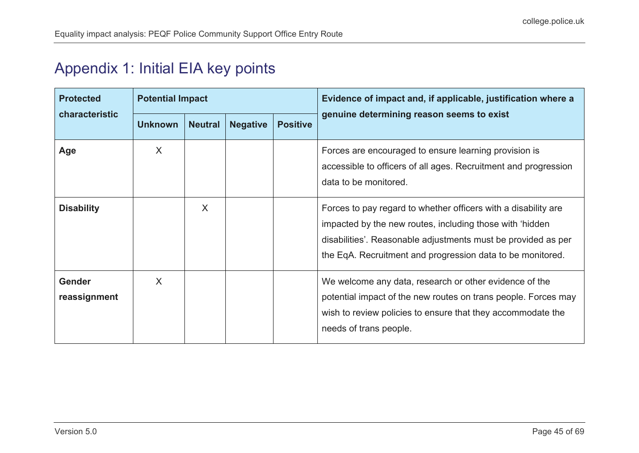# Appendix 1: Initial EIA key points

<span id="page-44-0"></span>

| <b>Protected</b><br>characteristic | <b>Potential Impact</b> |                |                 |                 | Evidence of impact and, if applicable, justification where a                                                                                                                                                                                              |
|------------------------------------|-------------------------|----------------|-----------------|-----------------|-----------------------------------------------------------------------------------------------------------------------------------------------------------------------------------------------------------------------------------------------------------|
|                                    | <b>Unknown</b>          | <b>Neutral</b> | <b>Negative</b> | <b>Positive</b> | genuine determining reason seems to exist                                                                                                                                                                                                                 |
| Age                                | X                       |                |                 |                 | Forces are encouraged to ensure learning provision is<br>accessible to officers of all ages. Recruitment and progression<br>data to be monitored.                                                                                                         |
| <b>Disability</b>                  |                         | X              |                 |                 | Forces to pay regard to whether officers with a disability are<br>impacted by the new routes, including those with 'hidden<br>disabilities'. Reasonable adjustments must be provided as per<br>the EqA. Recruitment and progression data to be monitored. |
| <b>Gender</b><br>reassignment      | X                       |                |                 |                 | We welcome any data, research or other evidence of the<br>potential impact of the new routes on trans people. Forces may<br>wish to review policies to ensure that they accommodate the<br>needs of trans people.                                         |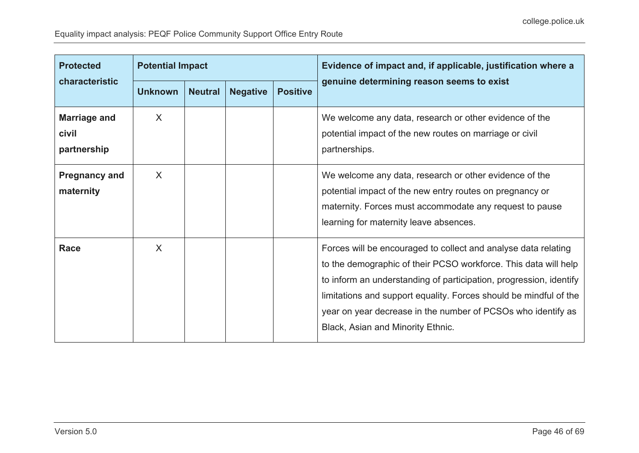| <b>Protected</b><br>characteristic          | <b>Potential Impact</b> |                |                 |                 | Evidence of impact and, if applicable, justification where a                                                                                                                                                                                                                                                                                                                      |
|---------------------------------------------|-------------------------|----------------|-----------------|-----------------|-----------------------------------------------------------------------------------------------------------------------------------------------------------------------------------------------------------------------------------------------------------------------------------------------------------------------------------------------------------------------------------|
|                                             | <b>Unknown</b>          | <b>Neutral</b> | <b>Negative</b> | <b>Positive</b> | genuine determining reason seems to exist                                                                                                                                                                                                                                                                                                                                         |
| <b>Marriage and</b><br>civil<br>partnership | X                       |                |                 |                 | We welcome any data, research or other evidence of the<br>potential impact of the new routes on marriage or civil<br>partnerships.                                                                                                                                                                                                                                                |
| <b>Pregnancy and</b><br>maternity           | X                       |                |                 |                 | We welcome any data, research or other evidence of the<br>potential impact of the new entry routes on pregnancy or<br>maternity. Forces must accommodate any request to pause<br>learning for maternity leave absences.                                                                                                                                                           |
| <b>Race</b>                                 | X                       |                |                 |                 | Forces will be encouraged to collect and analyse data relating<br>to the demographic of their PCSO workforce. This data will help<br>to inform an understanding of participation, progression, identify<br>limitations and support equality. Forces should be mindful of the<br>year on year decrease in the number of PCSOs who identify as<br>Black, Asian and Minority Ethnic. |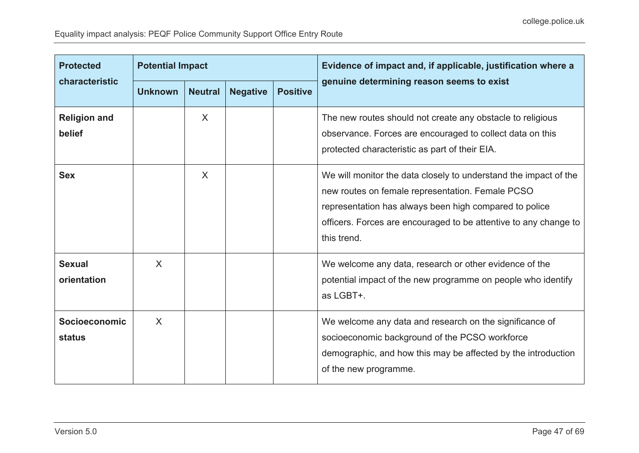| <b>Protected</b><br>characteristic | <b>Potential Impact</b> |                |                 |                 | Evidence of impact and, if applicable, justification where a                                                                                                                                                                                                      |
|------------------------------------|-------------------------|----------------|-----------------|-----------------|-------------------------------------------------------------------------------------------------------------------------------------------------------------------------------------------------------------------------------------------------------------------|
|                                    | <b>Unknown</b>          | <b>Neutral</b> | <b>Negative</b> | <b>Positive</b> | genuine determining reason seems to exist                                                                                                                                                                                                                         |
| <b>Religion and</b><br>belief      |                         | $\sf X$        |                 |                 | The new routes should not create any obstacle to religious<br>observance. Forces are encouraged to collect data on this<br>protected characteristic as part of their EIA.                                                                                         |
| <b>Sex</b>                         |                         | X              |                 |                 | We will monitor the data closely to understand the impact of the<br>new routes on female representation. Female PCSO<br>representation has always been high compared to police<br>officers. Forces are encouraged to be attentive to any change to<br>this trend. |
| <b>Sexual</b><br>orientation       | X                       |                |                 |                 | We welcome any data, research or other evidence of the<br>potential impact of the new programme on people who identify<br>as LGBT+.                                                                                                                               |
| Socioeconomic<br><b>status</b>     | $\sf X$                 |                |                 |                 | We welcome any data and research on the significance of<br>socioeconomic background of the PCSO workforce<br>demographic, and how this may be affected by the introduction<br>of the new programme.                                                               |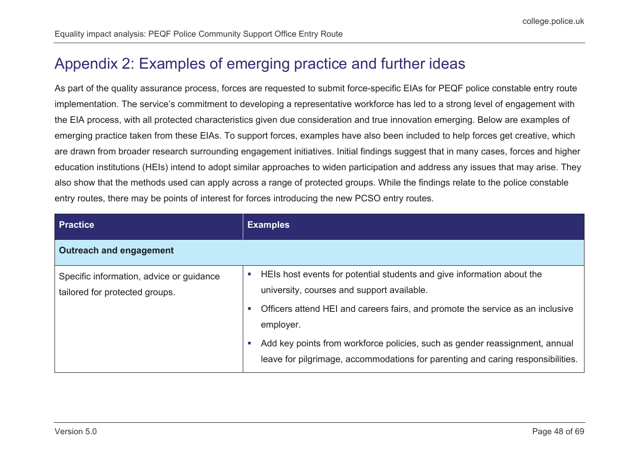# Appendix 2: Examples of emerging practice and further ideas

As part of the quality assurance process, forces are requested to submit force-specific EIAs for PEQF police constable entry route implementation. The service's commitment to developing a representative workforce has led to a strong level of engagement with the EIA process, with all protected characteristics given due consideration and true innovation emerging. Below are examples of emerging practice taken from these EIAs. To support forces, examples have also been included to help forces get creative, which are drawn from broader research surrounding engagement initiatives. Initial findings suggest that in many cases, forces and higher education institutions (HEIs) intend to adopt similar approaches to widen participation and address any issues that may arise. They also show that the methods used can apply across a range of protected groups. While the findings relate to the police constable entry routes, there may be points of interest for forces introducing the new PCSO entry routes.

<span id="page-47-0"></span>

| <b>Practice</b>                                                            | <b>Examples</b>                                                                                                                                                                                                                                                                                                                                                                                        |  |
|----------------------------------------------------------------------------|--------------------------------------------------------------------------------------------------------------------------------------------------------------------------------------------------------------------------------------------------------------------------------------------------------------------------------------------------------------------------------------------------------|--|
| <b>Outreach and engagement</b>                                             |                                                                                                                                                                                                                                                                                                                                                                                                        |  |
| Specific information, advice or guidance<br>tailored for protected groups. | HEIs host events for potential students and give information about the<br>ш<br>university, courses and support available.<br>Officers attend HEI and careers fairs, and promote the service as an inclusive<br>×.<br>employer.<br>Add key points from workforce policies, such as gender reassignment, annual<br>×.<br>leave for pilgrimage, accommodations for parenting and caring responsibilities. |  |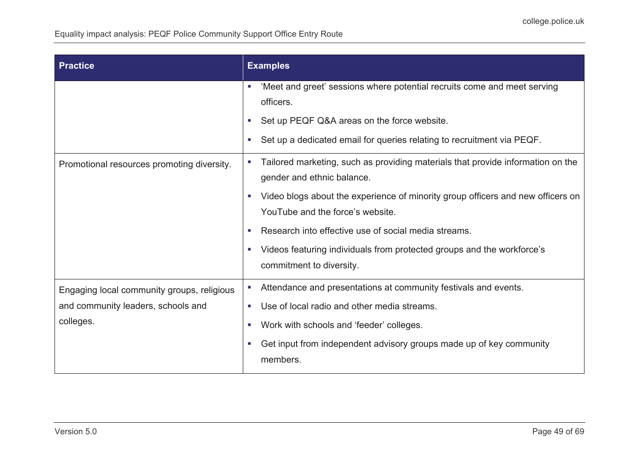| <b>Practice</b>                                                                               | <b>Examples</b>                                                                                                                                                                                                                                                                                                                                                                            |  |  |
|-----------------------------------------------------------------------------------------------|--------------------------------------------------------------------------------------------------------------------------------------------------------------------------------------------------------------------------------------------------------------------------------------------------------------------------------------------------------------------------------------------|--|--|
|                                                                                               | 'Meet and greet' sessions where potential recruits come and meet serving<br>×<br>officers.<br>Set up PEQF Q&A areas on the force website.<br>×<br>Set up a dedicated email for queries relating to recruitment via PEQF.<br>×                                                                                                                                                              |  |  |
| Promotional resources promoting diversity.                                                    | Tailored marketing, such as providing materials that provide information on the<br>×<br>gender and ethnic balance.<br>Video blogs about the experience of minority group officers and new officers on<br>п<br>YouTube and the force's website.<br>Research into effective use of social media streams.<br>×<br>Videos featuring individuals from protected groups and the workforce's<br>× |  |  |
|                                                                                               | commitment to diversity.                                                                                                                                                                                                                                                                                                                                                                   |  |  |
| Engaging local community groups, religious<br>and community leaders, schools and<br>colleges. | Attendance and presentations at community festivals and events.<br>Use of local radio and other media streams.<br>a.<br>Work with schools and 'feeder' colleges.<br>×<br>Get input from independent advisory groups made up of key community<br>×<br>members.                                                                                                                              |  |  |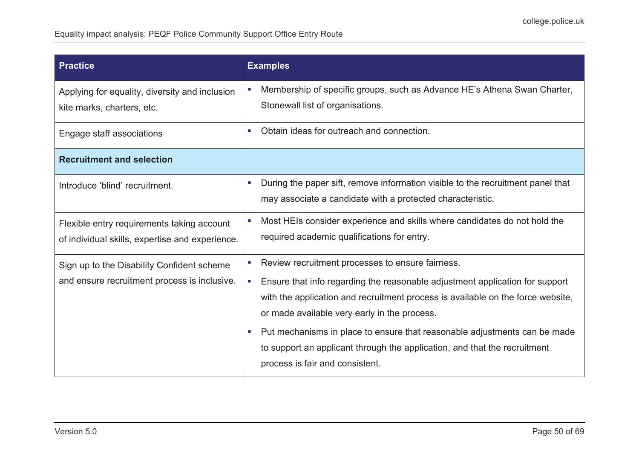| <b>Practice</b>                                                                               | <b>Examples</b>                                                                                                                                                                                                                                                                                                                                                                                                                                                                                                                     |  |
|-----------------------------------------------------------------------------------------------|-------------------------------------------------------------------------------------------------------------------------------------------------------------------------------------------------------------------------------------------------------------------------------------------------------------------------------------------------------------------------------------------------------------------------------------------------------------------------------------------------------------------------------------|--|
| Applying for equality, diversity and inclusion<br>kite marks, charters, etc.                  | Membership of specific groups, such as Advance HE's Athena Swan Charter,<br>×<br>Stonewall list of organisations.                                                                                                                                                                                                                                                                                                                                                                                                                   |  |
| Engage staff associations                                                                     | Obtain ideas for outreach and connection.<br>×                                                                                                                                                                                                                                                                                                                                                                                                                                                                                      |  |
| <b>Recruitment and selection</b>                                                              |                                                                                                                                                                                                                                                                                                                                                                                                                                                                                                                                     |  |
| Introduce 'blind' recruitment.                                                                | During the paper sift, remove information visible to the recruitment panel that<br>×<br>may associate a candidate with a protected characteristic.                                                                                                                                                                                                                                                                                                                                                                                  |  |
| Flexible entry requirements taking account<br>of individual skills, expertise and experience. | Most HEIs consider experience and skills where candidates do not hold the<br>×<br>required academic qualifications for entry.                                                                                                                                                                                                                                                                                                                                                                                                       |  |
| Sign up to the Disability Confident scheme<br>and ensure recruitment process is inclusive.    | Review recruitment processes to ensure fairness.<br>٠<br>Ensure that info regarding the reasonable adjustment application for support<br>$\mathcal{L}_{\mathcal{A}}$<br>with the application and recruitment process is available on the force website,<br>or made available very early in the process.<br>Put mechanisms in place to ensure that reasonable adjustments can be made<br>$\mathcal{L}_{\mathcal{A}}$<br>to support an applicant through the application, and that the recruitment<br>process is fair and consistent. |  |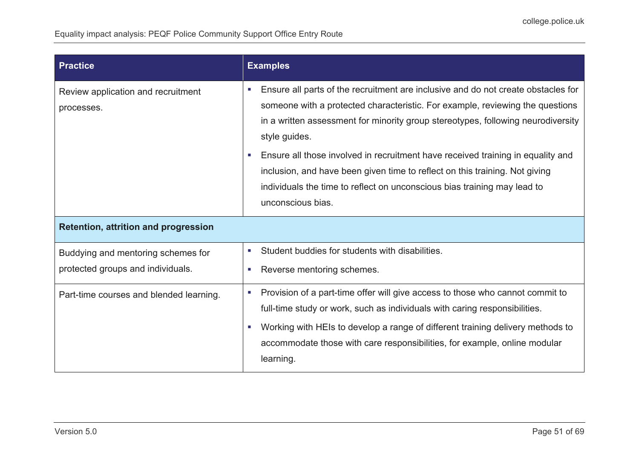| <b>Practice</b>                                                         | <b>Examples</b>                                                                                                                                                                                                                                                                                                                                                                                                                                                                                                                                                                       |  |
|-------------------------------------------------------------------------|---------------------------------------------------------------------------------------------------------------------------------------------------------------------------------------------------------------------------------------------------------------------------------------------------------------------------------------------------------------------------------------------------------------------------------------------------------------------------------------------------------------------------------------------------------------------------------------|--|
| Review application and recruitment<br>processes.                        | Ensure all parts of the recruitment are inclusive and do not create obstacles for<br><b>C</b><br>someone with a protected characteristic. For example, reviewing the questions<br>in a written assessment for minority group stereotypes, following neurodiversity<br>style guides.<br>Ensure all those involved in recruitment have received training in equality and<br>$\mathcal{L}_{\mathcal{A}}$<br>inclusion, and have been given time to reflect on this training. Not giving<br>individuals the time to reflect on unconscious bias training may lead to<br>unconscious bias. |  |
| <b>Retention, attrition and progression</b>                             |                                                                                                                                                                                                                                                                                                                                                                                                                                                                                                                                                                                       |  |
| Buddying and mentoring schemes for<br>protected groups and individuals. | Student buddies for students with disabilities.<br>×.<br>Reverse mentoring schemes.<br><b>College</b>                                                                                                                                                                                                                                                                                                                                                                                                                                                                                 |  |
| Part-time courses and blended learning.                                 | Provision of a part-time offer will give access to those who cannot commit to<br>×<br>full-time study or work, such as individuals with caring responsibilities.<br>Working with HEIs to develop a range of different training delivery methods to<br>×<br>accommodate those with care responsibilities, for example, online modular<br>learning.                                                                                                                                                                                                                                     |  |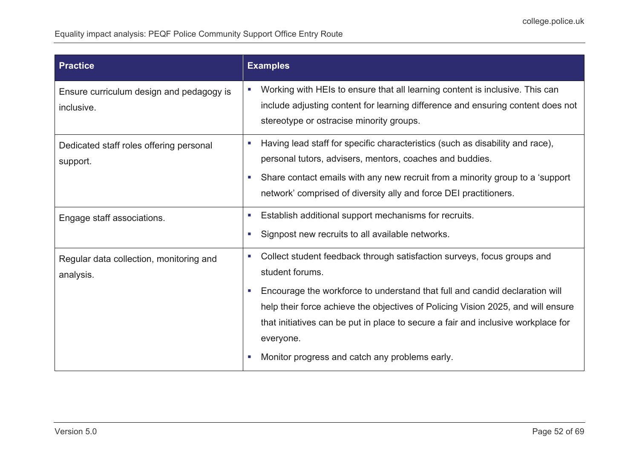| <b>Practice</b>                                        | <b>Examples</b>                                                                                                                                                                                                                                                                                                                                                                                                                     |  |
|--------------------------------------------------------|-------------------------------------------------------------------------------------------------------------------------------------------------------------------------------------------------------------------------------------------------------------------------------------------------------------------------------------------------------------------------------------------------------------------------------------|--|
| Ensure curriculum design and pedagogy is<br>inclusive. | Working with HEIs to ensure that all learning content is inclusive. This can<br>×<br>include adjusting content for learning difference and ensuring content does not<br>stereotype or ostracise minority groups.                                                                                                                                                                                                                    |  |
| Dedicated staff roles offering personal<br>support.    | Having lead staff for specific characteristics (such as disability and race),<br>×.<br>personal tutors, advisers, mentors, coaches and buddies.<br>Share contact emails with any new recruit from a minority group to a 'support'<br>$\mathcal{L}_{\mathcal{A}}$<br>network' comprised of diversity ally and force DEI practitioners.                                                                                               |  |
| Engage staff associations.                             | Establish additional support mechanisms for recruits.<br>×<br>Signpost new recruits to all available networks.<br>$\mathcal{L}_{\mathcal{A}}$                                                                                                                                                                                                                                                                                       |  |
| Regular data collection, monitoring and<br>analysis.   | Collect student feedback through satisfaction surveys, focus groups and<br>×.<br>student forums.<br>Encourage the workforce to understand that full and candid declaration will<br><b>C</b><br>help their force achieve the objectives of Policing Vision 2025, and will ensure<br>that initiatives can be put in place to secure a fair and inclusive workplace for<br>everyone.<br>Monitor progress and catch any problems early. |  |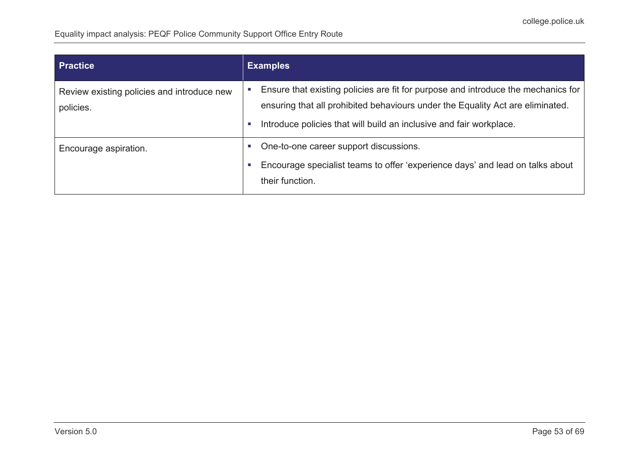| <b>Practice</b>                                         | <b>Examples</b>                                                                                                                                                                                                                            |  |
|---------------------------------------------------------|--------------------------------------------------------------------------------------------------------------------------------------------------------------------------------------------------------------------------------------------|--|
| Review existing policies and introduce new<br>policies. | Ensure that existing policies are fit for purpose and introduce the mechanics for<br>ensuring that all prohibited behaviours under the Equality Act are eliminated.<br>Introduce policies that will build an inclusive and fair workplace. |  |
| Encourage aspiration.                                   | One-to-one career support discussions.<br>Encourage specialist teams to offer 'experience days' and lead on talks about<br>their function.                                                                                                 |  |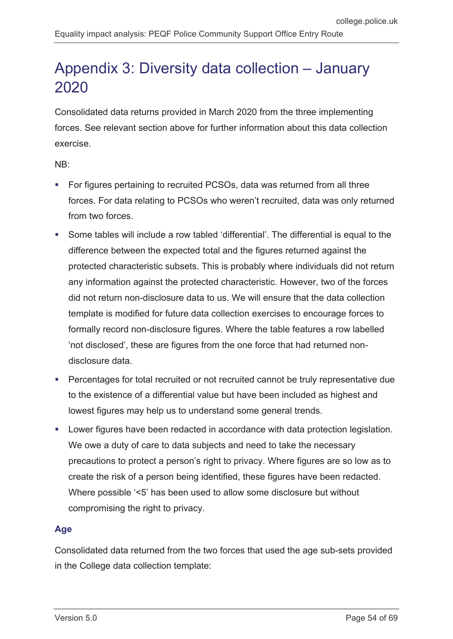# <span id="page-53-0"></span>Appendix 3: Diversity data collection – January 2020

Consolidated data returns provided in March 2020 from the three implementing forces. See relevant section above for further information about this data collection exercise.

NB:

- For figures pertaining to recruited PCSOs, data was returned from all three forces. For data relating to PCSOs who weren't recruited, data was only returned from two forces.
- Some tables will include a row tabled 'differential'. The differential is equal to the difference between the expected total and the figures returned against the protected characteristic subsets. This is probably where individuals did not return any information against the protected characteristic. However, two of the forces did not return non-disclosure data to us. We will ensure that the data collection template is modified for future data collection exercises to encourage forces to formally record non-disclosure figures. Where the table features a row labelled 'not disclosed', these are figures from the one force that had returned nondisclosure data.
- **Percentages for total recruited or not recruited cannot be truly representative due** to the existence of a differential value but have been included as highest and lowest figures may help us to understand some general trends.
- Lower figures have been redacted in accordance with data protection legislation. We owe a duty of care to data subjects and need to take the necessary precautions to protect a person's right to privacy. Where figures are so low as to create the risk of a person being identified, these figures have been redacted. Where possible '<5' has been used to allow some disclosure but without compromising the right to privacy.

#### **Age**

Consolidated data returned from the two forces that used the age sub-sets provided in the College data collection template: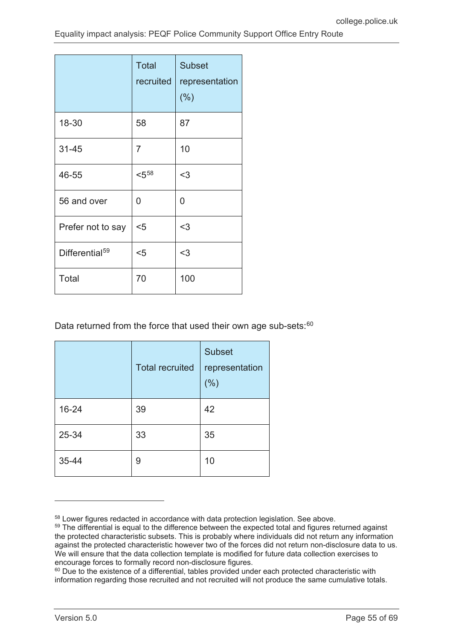|                            | <b>Total</b><br>recruited | <b>Subset</b><br>representation<br>(% ) |
|----------------------------|---------------------------|-----------------------------------------|
| 18-30                      | 58                        | 87                                      |
| $31 - 45$                  | $\overline{7}$            | 10                                      |
| 46-55                      | $< 5^{58}$                | $3$                                     |
| 56 and over                | 0                         | 0                                       |
| Prefer not to say          | $5$                       | $3$                                     |
| Differential <sup>59</sup> | $5$                       | $3$                                     |
| Total                      | 70                        | 100                                     |

Data returned from the force that used their own age sub-sets:<sup>[60](#page-54-2)</sup>

|       | <b>Total recruited</b> | <b>Subset</b><br>representation<br>(% ) |
|-------|------------------------|-----------------------------------------|
| 16-24 | 39                     | 42                                      |
| 25-34 | 33                     | 35                                      |
| 35-44 | 9                      | 10                                      |

 $\overline{a}$ 

<span id="page-54-0"></span><sup>58</sup> Lower figures redacted in accordance with data protection legislation. See above.

<span id="page-54-1"></span><sup>&</sup>lt;sup>59</sup> The differential is equal to the difference between the expected total and figures returned against the protected characteristic subsets. This is probably where individuals did not return any information against the protected characteristic however two of the forces did not return non-disclosure data to us. We will ensure that the data collection template is modified for future data collection exercises to encourage forces to formally record non-disclosure figures.

<span id="page-54-2"></span><sup>&</sup>lt;sup>60</sup> Due to the existence of a differential, tables provided under each protected characteristic with information regarding those recruited and not recruited will not produce the same cumulative totals.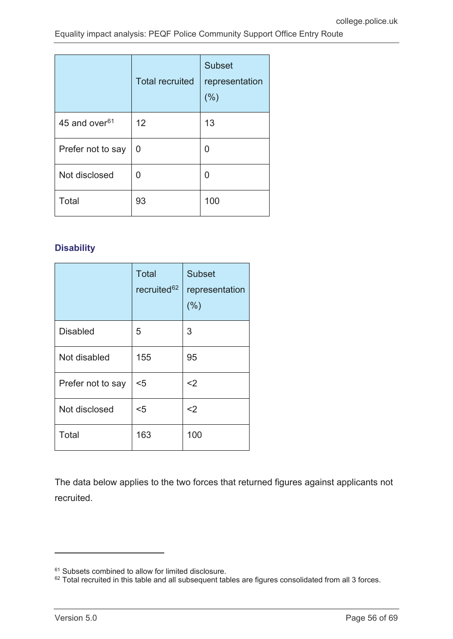|                           | <b>Total recruited</b> | <b>Subset</b><br>representation<br>(% ) |
|---------------------------|------------------------|-----------------------------------------|
| 45 and over <sup>61</sup> | 12                     | 13                                      |
| Prefer not to say         | 0                      | 0                                       |
| Not disclosed             | 0                      | 0                                       |
| Total                     | 93                     | 100                                     |

### **Disability**

|                   | <b>Total</b><br>recruited <sup>62</sup> | <b>Subset</b><br>representation<br>(% ) |
|-------------------|-----------------------------------------|-----------------------------------------|
| <b>Disabled</b>   | 5                                       | 3                                       |
| Not disabled      | 155                                     | 95                                      |
| Prefer not to say | $5$                                     | $2$                                     |
| Not disclosed     | $5$                                     | $<$ 2                                   |
| Total             | 163                                     | 100                                     |

The data below applies to the two forces that returned figures against applicants not recruited.

 $\overline{a}$ 

<span id="page-55-0"></span><sup>&</sup>lt;sup>61</sup> Subsets combined to allow for limited disclosure.

<span id="page-55-1"></span> $62$  Total recruited in this table and all subsequent tables are figures consolidated from all 3 forces.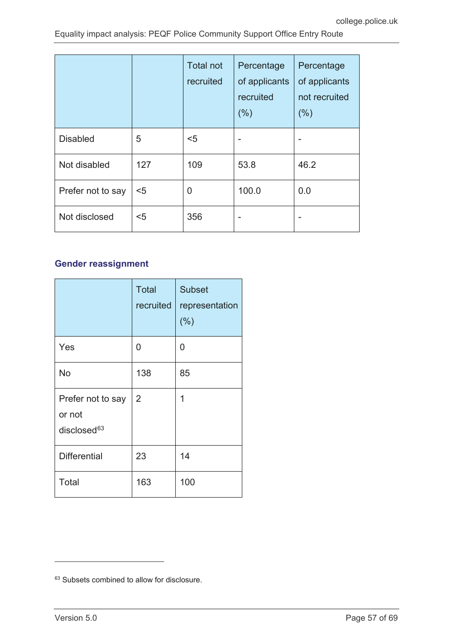|                   |     | <b>Total not</b><br>recruited | Percentage<br>of applicants<br>recruited<br>(% ) | Percentage<br>of applicants<br>not recruited<br>(% ) |
|-------------------|-----|-------------------------------|--------------------------------------------------|------------------------------------------------------|
| <b>Disabled</b>   | 5   | $5$                           |                                                  |                                                      |
| Not disabled      | 127 | 109                           | 53.8                                             | 46.2                                                 |
| Prefer not to say | $5$ | 0                             | 100.0                                            | 0.0                                                  |
| Not disclosed     | $5$ | 356                           |                                                  |                                                      |

### **Gender reassignment**

|                                                        | <b>Total</b><br>recruited | <b>Subset</b><br>representation<br>(% ) |
|--------------------------------------------------------|---------------------------|-----------------------------------------|
| Yes                                                    | 0                         | 0                                       |
| <b>No</b>                                              | 138                       | 85                                      |
| Prefer not to say<br>or not<br>disclosed <sup>63</sup> | 2                         | 1                                       |
| <b>Differential</b>                                    | 23                        | 14                                      |
| Total                                                  | 163                       | 100                                     |

<span id="page-56-0"></span><sup>&</sup>lt;sup>63</sup> Subsets combined to allow for disclosure.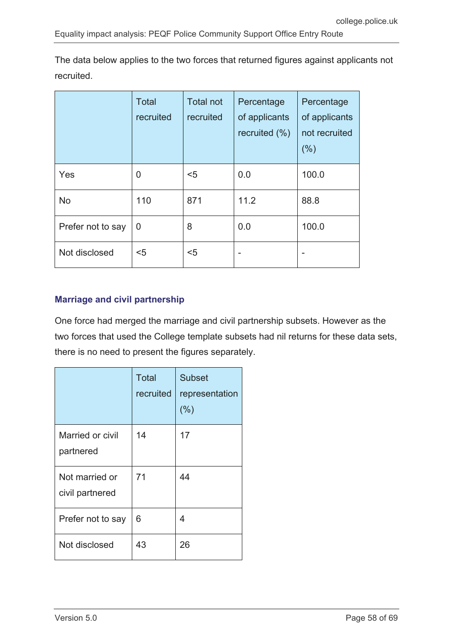The data below applies to the two forces that returned figures against applicants not recruited.

|                   | <b>Total</b><br>recruited | <b>Total not</b><br>recruited | Percentage<br>of applicants<br>recruited (%) | Percentage<br>of applicants<br>not recruited<br>(%) |
|-------------------|---------------------------|-------------------------------|----------------------------------------------|-----------------------------------------------------|
| Yes               | $\overline{0}$            | $5$                           | 0.0                                          | 100.0                                               |
| No                | 110                       | 871                           | 11.2                                         | 88.8                                                |
| Prefer not to say | $\overline{0}$            | 8                             | 0.0                                          | 100.0                                               |
| Not disclosed     | $5$                       | $5$                           |                                              |                                                     |

#### **Marriage and civil partnership**

One force had merged the marriage and civil partnership subsets. However as the two forces that used the College template subsets had nil returns for these data sets, there is no need to present the figures separately.

|                                   | <b>Total</b><br>recruited | <b>Subset</b><br>representation<br>(% ) |
|-----------------------------------|---------------------------|-----------------------------------------|
| Married or civil<br>partnered     | 14                        | 17                                      |
| Not married or<br>civil partnered | 71                        | 44                                      |
| Prefer not to say                 | 6                         | 4                                       |
| Not disclosed                     | 43                        | 26                                      |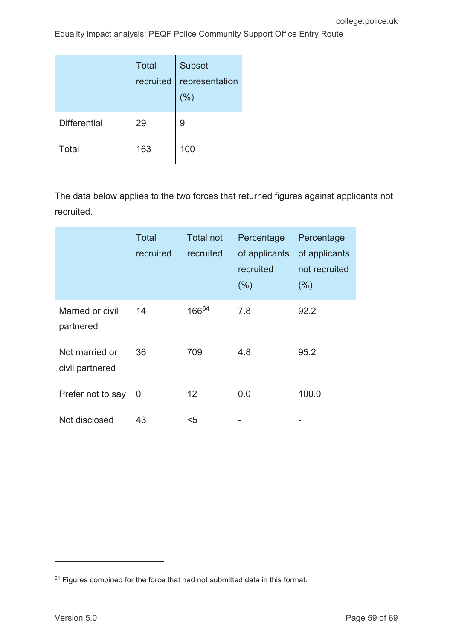|                     | <b>Total</b><br>recruited | <b>Subset</b><br>representation<br>(% ) |
|---------------------|---------------------------|-----------------------------------------|
| <b>Differential</b> | 29                        | 9                                       |
| Total               | 163                       | 100                                     |

The data below applies to the two forces that returned figures against applicants not recruited.

|                                   | <b>Total</b><br>recruited | <b>Total not</b><br>recruited | Percentage<br>of applicants<br>recruited<br>(% ) | Percentage<br>of applicants<br>not recruited<br>(% ) |
|-----------------------------------|---------------------------|-------------------------------|--------------------------------------------------|------------------------------------------------------|
| Married or civil<br>partnered     | 14                        | 16664                         | 7.8                                              | 92.2                                                 |
| Not married or<br>civil partnered | 36                        | 709                           | 4.8                                              | 95.2                                                 |
| Prefer not to say                 | 0                         | 12                            | 0.0                                              | 100.0                                                |
| Not disclosed                     | 43                        | $5$                           |                                                  |                                                      |

<span id="page-58-0"></span> $64$  Figures combined for the force that had not submitted data in this format.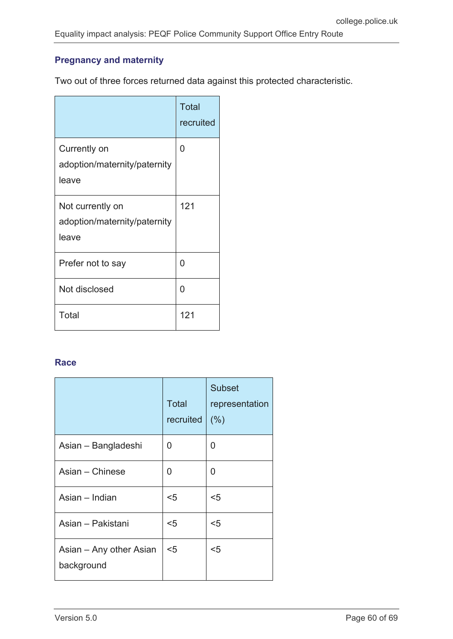### **Pregnancy and maternity**

Two out of three forces returned data against this protected characteristic.

|                                                           | <b>Total</b><br>recruited |
|-----------------------------------------------------------|---------------------------|
| Currently on<br>adoption/maternity/paternity<br>leave     | 0                         |
| Not currently on<br>adoption/maternity/paternity<br>leave | 121                       |
| Prefer not to say                                         | ∩                         |
| Not disclosed                                             | U                         |
| Total                                                     | 121                       |

#### **Race**

|                                       | <b>Total</b><br>recruited | <b>Subset</b><br>representation<br>(% ) |
|---------------------------------------|---------------------------|-----------------------------------------|
| Asian – Bangladeshi                   | 0                         | 0                                       |
| Asian - Chinese                       | 0                         | 0                                       |
| Asian - Indian                        | $5$                       | $5$                                     |
| Asian – Pakistani                     | $5$                       | $5$                                     |
| Asian – Any other Asian<br>background | $5$                       | $5$                                     |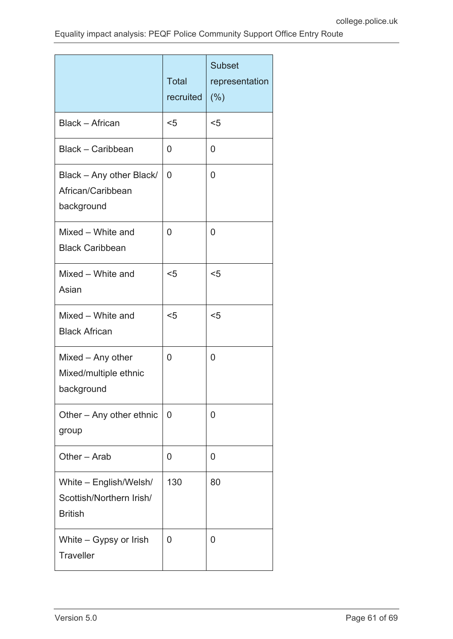|                                                                      | <b>Total</b><br>recruited | <b>Subset</b><br>representation<br>(% ) |
|----------------------------------------------------------------------|---------------------------|-----------------------------------------|
| <b>Black - African</b>                                               | $5$                       | $5$                                     |
| Black - Caribbean                                                    | 0                         | 0                                       |
| Black - Any other Black/<br>African/Caribbean<br>background          | 0                         | $\overline{0}$                          |
| Mixed - White and<br><b>Black Caribbean</b>                          | 0                         | 0                                       |
| Mixed - White and<br>Asian                                           | $5$                       | $5$                                     |
| Mixed - White and<br><b>Black African</b>                            | $5$                       | $5$                                     |
| Mixed - Any other<br>Mixed/multiple ethnic<br>background             | 0                         | $\overline{0}$                          |
| Other - Any other ethnic<br>group                                    | $\overline{0}$            | 0                                       |
| Other - Arab                                                         | 0                         | 0                                       |
| White - English/Welsh/<br>Scottish/Northern Irish/<br><b>British</b> | 130                       | 80                                      |
| White - Gypsy or Irish<br><b>Traveller</b>                           | 0                         | 0                                       |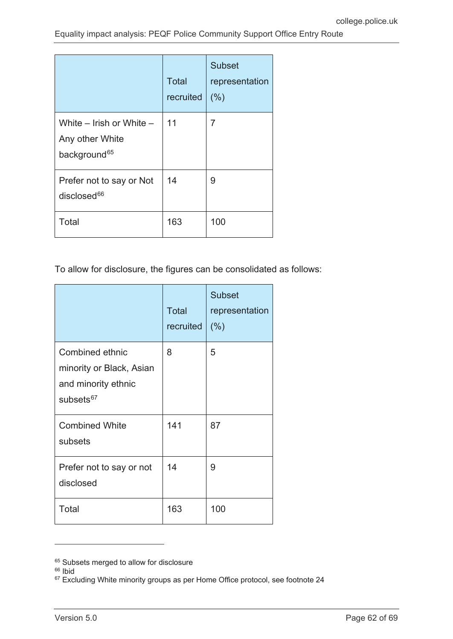|                                                                         | <b>Total</b><br>recruited | <b>Subset</b><br>representation<br>(% ) |
|-------------------------------------------------------------------------|---------------------------|-----------------------------------------|
| White - Irish or White -<br>Any other White<br>background <sup>65</sup> | 11                        | 7                                       |
| Prefer not to say or Not<br>$disclosed^{66}$                            | 14                        | 9                                       |
| Total                                                                   | 163                       | 100                                     |

To allow for disclosure, the figures can be consolidated as follows:

|                                                                                             | <b>Total</b><br>recruited | <b>Subset</b><br>representation<br>(% ) |
|---------------------------------------------------------------------------------------------|---------------------------|-----------------------------------------|
| Combined ethnic<br>minority or Black, Asian<br>and minority ethnic<br>subsets <sup>67</sup> | 8                         | 5                                       |
| <b>Combined White</b><br>subsets                                                            | 141                       | 87                                      |
| Prefer not to say or not<br>disclosed                                                       | 14                        | 9                                       |
| Total                                                                                       | 163                       | 100                                     |

<sup>&</sup>lt;sup>65</sup> Subsets merged to allow for disclosure

<span id="page-61-1"></span><span id="page-61-0"></span> $66$  Ibid

<span id="page-61-2"></span><sup>67</sup> Excluding White minority groups as per Home Office protocol, see footnote 24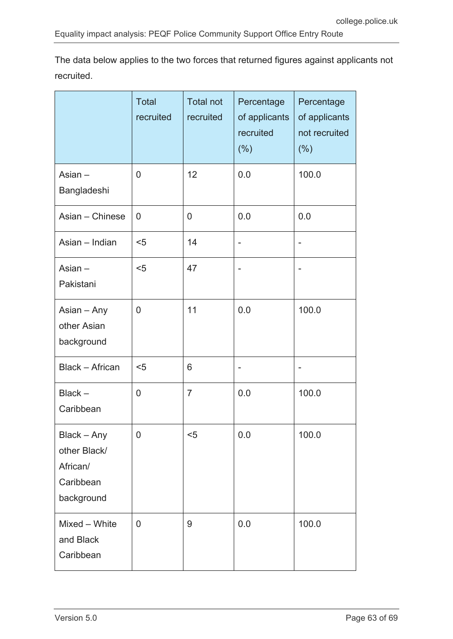|                                                                    | <b>Total</b><br>recruited | <b>Total not</b><br>recruited | Percentage<br>of applicants<br>recruited<br>(%) | Percentage<br>of applicants<br>not recruited<br>$(\% )$ |
|--------------------------------------------------------------------|---------------------------|-------------------------------|-------------------------------------------------|---------------------------------------------------------|
| Asian $-$<br>Bangladeshi                                           | $\overline{0}$            | 12                            | 0.0                                             | 100.0                                                   |
| Asian - Chinese                                                    | 0                         | 0                             | 0.0                                             | 0.0                                                     |
| Asian - Indian                                                     | $5$                       | 14                            |                                                 | $\overline{a}$                                          |
| Asian $-$<br>Pakistani                                             | $5$                       | 47                            |                                                 |                                                         |
| Asian - Any<br>other Asian<br>background                           | $\overline{0}$            | 11                            | 0.0                                             | 100.0                                                   |
| <b>Black - African</b>                                             | $5$                       | 6                             |                                                 |                                                         |
| $Black -$<br>Caribbean                                             | $\overline{0}$            | $\overline{7}$                | 0.0                                             | 100.0                                                   |
| Black - Any<br>other Black/<br>African/<br>Caribbean<br>background | $\mathbf 0$               | $5$                           | 0.0                                             | 100.0                                                   |
| Mixed - White<br>and Black<br>Caribbean                            | $\overline{0}$            | 9                             | 0.0                                             | 100.0                                                   |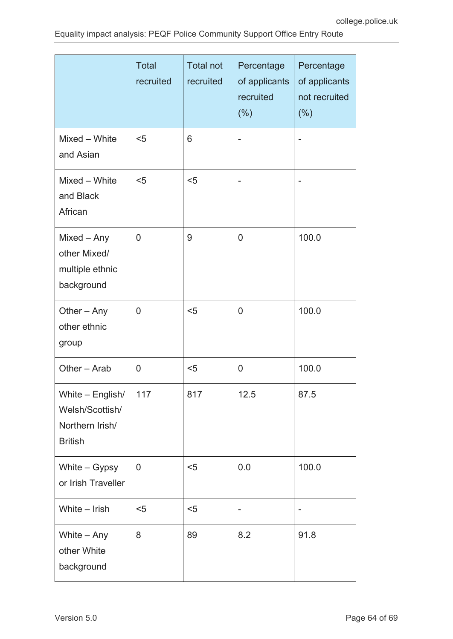|                                                                          | <b>Total</b><br>recruited | <b>Total not</b><br>recruited | Percentage<br>of applicants<br>recruited<br>(% ) | Percentage<br>of applicants<br>not recruited<br>$(\% )$ |
|--------------------------------------------------------------------------|---------------------------|-------------------------------|--------------------------------------------------|---------------------------------------------------------|
| Mixed - White<br>and Asian                                               | $5$                       | 6                             |                                                  |                                                         |
| Mixed - White<br>and Black<br>African                                    | $5$                       | $5$                           |                                                  |                                                         |
| Mixed - Any<br>other Mixed/<br>multiple ethnic<br>background             | 0                         | 9                             | 0                                                | 100.0                                                   |
| Other $-$ Any<br>other ethnic<br>group                                   | 0                         | $5$                           | 0                                                | 100.0                                                   |
| Other - Arab                                                             | 0                         | $5$                           | 0                                                | 100.0                                                   |
| White - English/<br>Welsh/Scottish/<br>Northern Irish/<br><b>British</b> | 117                       | 817                           | 12.5                                             | 87.5                                                    |
| White $-$ Gypsy<br>or Irish Traveller                                    | $\overline{0}$            | $5$                           | 0.0                                              | 100.0                                                   |
| White - Irish                                                            | $5$                       | $5$                           |                                                  |                                                         |
| White - Any<br>other White<br>background                                 | 8                         | 89                            | 8.2                                              | 91.8                                                    |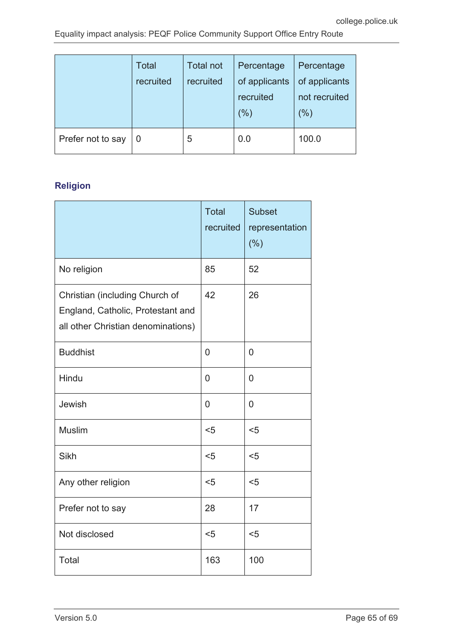|                   | <b>Total</b><br>recruited | <b>Total not</b><br>recruited | Percentage<br>of applicants<br>recruited<br>(%) | Percentage<br>of applicants<br>not recruited<br>(%) |
|-------------------|---------------------------|-------------------------------|-------------------------------------------------|-----------------------------------------------------|
| Prefer not to say | 0                         | 5                             | 0.0                                             | 100.0                                               |

## **Religion**

|                                                                                                           | <b>Total</b><br>recruited | <b>Subset</b><br>representation<br>(% ) |
|-----------------------------------------------------------------------------------------------------------|---------------------------|-----------------------------------------|
| No religion                                                                                               | 85                        | 52                                      |
| Christian (including Church of<br>England, Catholic, Protestant and<br>all other Christian denominations) | 42                        | 26                                      |
| <b>Buddhist</b>                                                                                           | 0                         | 0                                       |
| Hindu                                                                                                     | 0                         | $\overline{0}$                          |
| Jewish                                                                                                    | 0                         | 0                                       |
| <b>Muslim</b>                                                                                             | $5$                       | $5$                                     |
| Sikh                                                                                                      | $5$                       | $5$                                     |
| Any other religion                                                                                        | $5$                       | $5$                                     |
| Prefer not to say                                                                                         | 28                        | 17                                      |
| Not disclosed                                                                                             | $5$                       | $5$                                     |
| Total                                                                                                     | 163                       | 100                                     |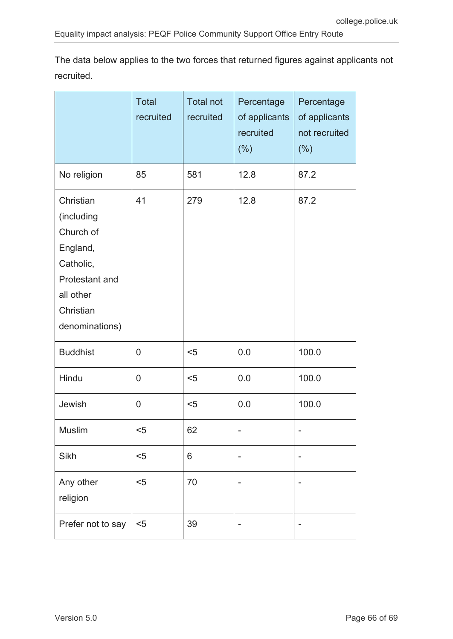|                                                                                                                             | <b>Total</b><br>recruited | <b>Total not</b><br>recruited | Percentage<br>of applicants<br>recruited<br>(% ) | Percentage<br>of applicants<br>not recruited<br>$(\% )$ |
|-----------------------------------------------------------------------------------------------------------------------------|---------------------------|-------------------------------|--------------------------------------------------|---------------------------------------------------------|
| No religion                                                                                                                 | 85                        | 581                           | 12.8                                             | 87.2                                                    |
| Christian<br>(including<br>Church of<br>England,<br>Catholic,<br>Protestant and<br>all other<br>Christian<br>denominations) | 41                        | 279                           | 12.8                                             | 87.2                                                    |
| <b>Buddhist</b>                                                                                                             | $\overline{0}$            | $5$                           | 0.0                                              | 100.0                                                   |
| Hindu                                                                                                                       | 0                         | $5$                           | 0.0                                              | 100.0                                                   |
| Jewish                                                                                                                      | $\overline{0}$            | $5$                           | 0.0                                              | 100.0                                                   |
| <b>Muslim</b>                                                                                                               | $5$                       | 62                            |                                                  |                                                         |
| Sikh                                                                                                                        | $5$                       | 6                             |                                                  |                                                         |
| Any other<br>religion                                                                                                       | $5$                       | 70                            |                                                  |                                                         |
| Prefer not to say                                                                                                           | $5$                       | 39                            |                                                  |                                                         |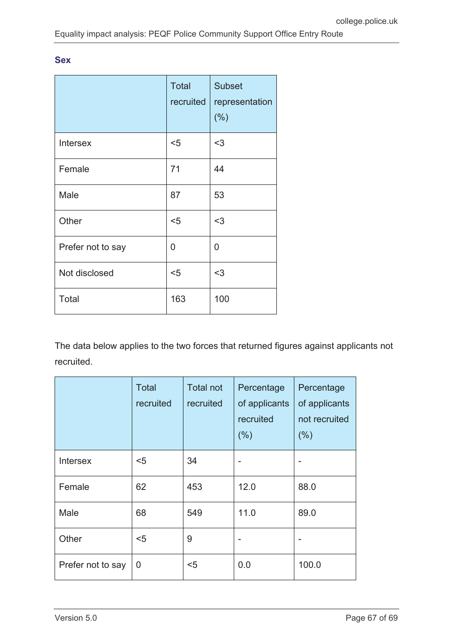#### **Sex**

|                   | <b>Total</b><br>recruited | <b>Subset</b><br>representation<br>(% ) |
|-------------------|---------------------------|-----------------------------------------|
| <b>Intersex</b>   | $5$                       | $3$                                     |
| Female            | 71                        | 44                                      |
| Male              | 87                        | 53                                      |
| Other             | $5$                       | $3$                                     |
| Prefer not to say | 0                         | 0                                       |
| Not disclosed     | $5$                       | $3$                                     |
| Total             | 163                       | 100                                     |

|                   | <b>Total</b><br>recruited | <b>Total not</b><br>recruited | Percentage<br>of applicants<br>recruited<br>(% ) | Percentage<br>of applicants<br>not recruited<br>(% ) |
|-------------------|---------------------------|-------------------------------|--------------------------------------------------|------------------------------------------------------|
| <b>Intersex</b>   | $5$                       | 34                            |                                                  |                                                      |
| Female            | 62                        | 453                           | 12.0                                             | 88.0                                                 |
| Male              | 68                        | 549                           | 11.0                                             | 89.0                                                 |
| Other             | $5$                       | 9                             |                                                  |                                                      |
| Prefer not to say | 0                         | $5$                           | 0.0                                              | 100.0                                                |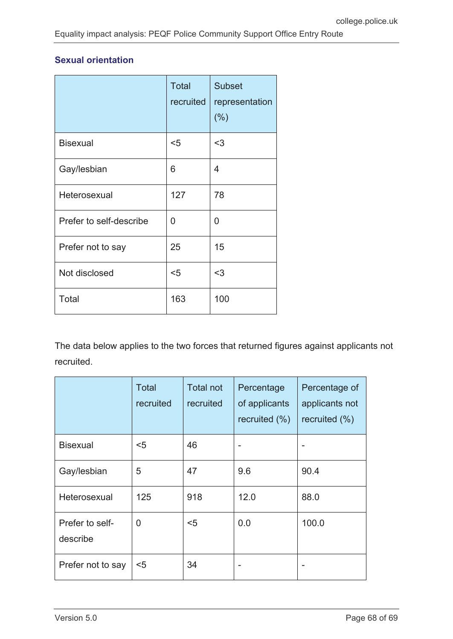### **Sexual orientation**

|                         | <b>Total</b><br>recruited | <b>Subset</b><br>representation<br>(%) |
|-------------------------|---------------------------|----------------------------------------|
| <b>Bisexual</b>         | $5$                       | $3$                                    |
| Gay/lesbian             | 6                         | 4                                      |
| Heterosexual            | 127                       | 78                                     |
| Prefer to self-describe | 0                         | 0                                      |
| Prefer not to say       | 25                        | 15                                     |
| Not disclosed           | $5$                       | $3$                                    |
| Total                   | 163                       | 100                                    |

|                             | Total<br>recruited | <b>Total not</b><br>recruited | Percentage<br>of applicants<br>recruited $(\%)$ | Percentage of<br>applicants not<br>recruited $(\% )$ |
|-----------------------------|--------------------|-------------------------------|-------------------------------------------------|------------------------------------------------------|
| <b>Bisexual</b>             | $5$                | 46                            |                                                 |                                                      |
| Gay/lesbian                 | 5                  | 47                            | 9.6                                             | 90.4                                                 |
| Heterosexual                | 125                | 918                           | 12.0                                            | 88.0                                                 |
| Prefer to self-<br>describe | 0                  | $5$                           | 0.0                                             | 100.0                                                |
| Prefer not to say           | $5$                | 34                            |                                                 |                                                      |